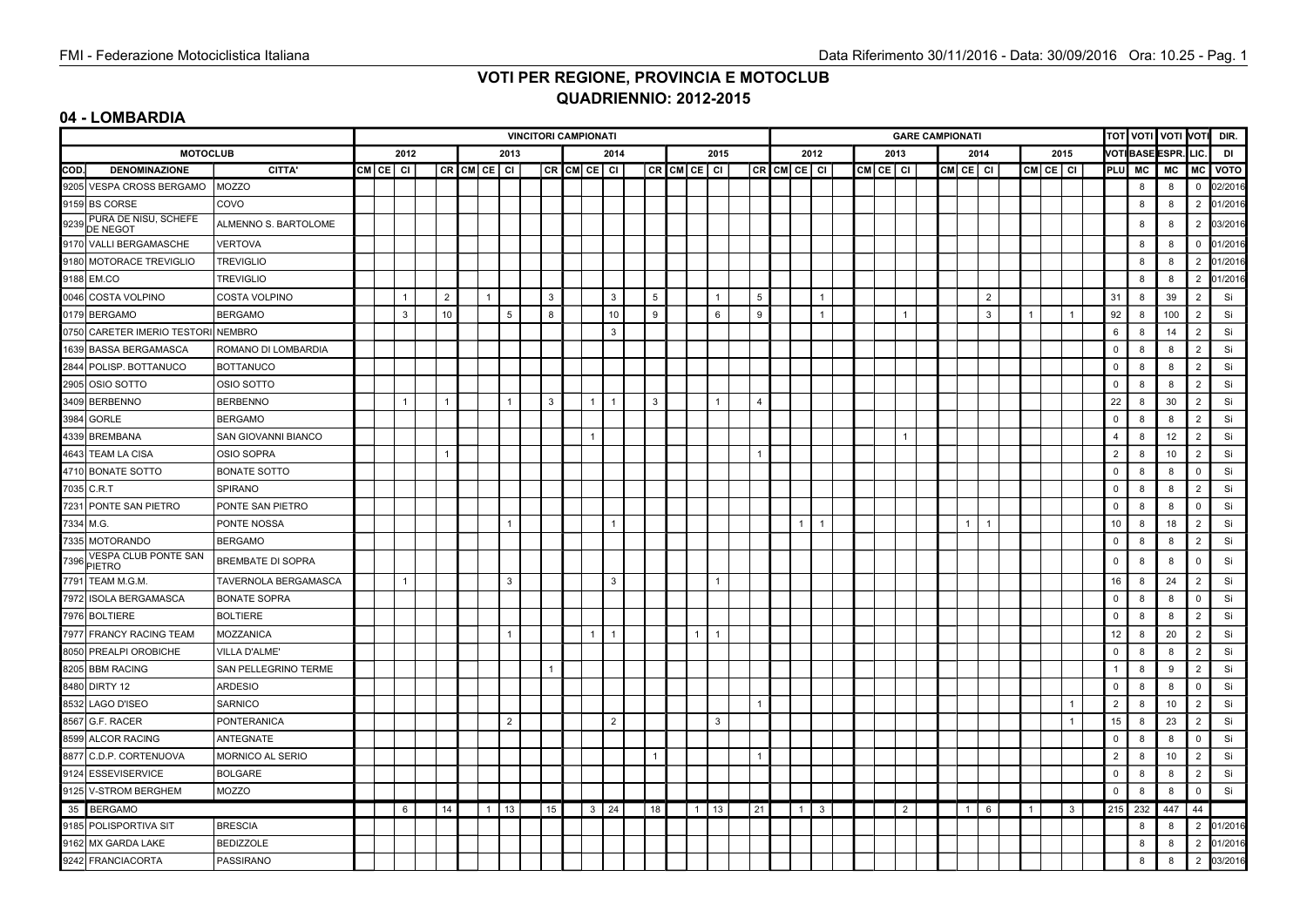# VOTI PER REGIONE, PROVINCIA E MOTOCLUB QUADRIENNIO: 2012-2015

#### 04 - LOMBARDIA

| VOTIBASE ESPR. LIC.<br><b>MOTOCLUB</b><br>2013<br>DI<br>2012<br>2013<br>2014<br>2015<br>2012<br>2014<br>2015<br>COD.<br><b>CRCMCEC</b><br>CM CE<br>CM CE CI<br>PLU MC<br>CM CE CI<br>CRCMCEC<br>CR CM CE CI<br>CR CM CE CI<br><b>CI</b><br>CM CE CI<br><b>DENOMINAZIONE</b><br>CITTA'<br>MC MC<br><b>VOTO</b><br>9205 VESPA CROSS BERGAMO<br><b>MOZZO</b><br>02/2016<br>8<br>8<br>$\mathbf 0$<br>9159 BS CORSE<br>COVO<br>8<br>8<br>$\overline{2}$<br>PURA DE NISU, SCHEFE<br>9239<br>ALMENNO S. BARTOLOME<br>8<br>8<br><b>DE NEGOT</b><br>9170 VALLI BERGAMASCHE<br><b>VERTOVA</b><br>8<br>8<br>$\mathbf{0}$<br>9180 MOTORACE TREVIGLIO<br><b>TREVIGLIO</b><br>8<br>$\overline{2}$<br>8<br>9188 EM.CO<br>8<br><b>TREVIGLIO</b><br>8<br>2<br>$\sqrt{5}$<br>$\overline{2}$<br>31<br>0046 COSTA VOLPINO<br>$\overline{2}$<br>3<br>$\mathbf{3}$<br>$\mathbf{1}$<br>39<br>Si<br><b>COSTA VOLPINO</b><br>5<br>$\overline{1}$<br>8<br>$\overline{2}$<br>$\boldsymbol{9}$<br>0179 BERGAMO<br>$\mathbf{3}$<br>$5\phantom{.0}$<br>8<br>10<br>6<br>$\mathbf{1}$<br>92<br><b>BERGAMO</b><br>10<br>9<br>Si<br>3<br>$\overline{1}$<br>8<br>100<br>2<br>0750 CARETER IMERIO TESTORI NEMBRO<br>$\mathbf{3}$<br>6<br>Si<br>8<br>14<br>$\mathcal{P}$<br>$\mathbf 0$<br>1639 BASSA BERGAMASCA<br>ROMANO DI LOMBARDIA<br>8<br>8<br>Si<br>$\mathcal{P}$<br>$\mathsf 0$<br>Si<br>2844 POLISP. BOTTANUCO<br><b>BOTTANUCO</b><br>8<br>8<br>$\mathcal{P}$<br>2905 OSIO SOTTO<br>$\mathbf 0$<br>OSIO SOTTO<br>8<br>8<br>Si<br>$\mathfrak{p}$<br>3409 BERBENNO<br>22<br><b>BERBENNO</b><br>3<br>3<br>$\mathbf{1}$<br>$\overline{4}$<br>8<br>30<br>Si<br>$\overline{1}$<br>$\mathbf{1}$<br>2<br>1<br>$\overline{1}$<br>3984<br>$\mathsf 0$<br><b>GORLE</b><br>8<br>Si<br><b>BERGAMO</b><br>8<br>2<br>12<br>Si<br>4339 BREMBANA<br>SAN GIOVANNI BIANCO<br>$\overline{4}$<br>8<br>$\overline{1}$<br>$\overline{2}$<br>$\overline{2}$<br>$\overline{1}$<br>Si<br>4643 TEAM LA CISA<br>OSIO SOPRA<br>$\overline{1}$<br>8<br>10<br>$\mathcal{D}$<br>4710 BONATE SOTTO<br>$\mathbf 0$<br>Si<br><b>BONATE SOTTO</b><br>8<br>8<br>$\Omega$<br>7035 C.R.T<br>$\mathsf 0$<br>SPIRANO<br>8<br>8<br>Si<br>$\mathcal{P}$<br>7231<br>PONTE SAN PIETRO<br>PONTE SAN PIETRO<br>$\mathsf 0$<br>Si<br>8<br>8<br>$\Omega$<br>7334<br>M.G.<br>PONTE NOSSA<br>$\mathbf{1}$<br>1<br>10<br>18<br>Si<br>$\overline{1}$<br>$\mathbf{1}$<br>$\mathbf{1}$<br>$\overline{1}$<br>8<br>$\overline{2}$<br>7335<br><b>MOTORANDO</b><br><b>BERGAMO</b><br>$\mathsf 0$<br>8<br>Si<br>8<br>$\overline{2}$<br><b>VESPA CLUB PONTE SAN</b><br><b>BREMBATE DI SOPRA</b><br>7396<br>$\mathsf 0$<br>Si<br>8<br>8<br>$\Omega$<br><b>PIETRO</b><br>7791<br>$\mathbf{3}$<br>16<br>24<br>Si<br>TEAM M.G.M.<br>TAVERNOLA BERGAMASCA<br>$\mathbf{3}$<br>$\mathbf{1}$<br>8<br>2<br>$\overline{1}$<br>7972<br>$\mathsf 0$<br>Si<br><b>ISOLA BERGAMASCA</b><br><b>BONATE SOPRA</b><br>8<br>8<br>$\Omega$<br>7976 BOLTIERE<br>$\mathsf 0$<br>Si<br><b>BOLTIERE</b><br>8<br>8<br>2<br>7977 FRANCY RACING TEAM<br>12<br>MOZZANICA<br>Si<br>$\overline{1}$<br>20<br>$\overline{1}$<br>$\mathbf{1}$<br>8<br>$\overline{2}$<br>8050 PREALPI OROBICHE<br>$\mathbf{0}$<br>Si<br><b>VILLA D'ALME'</b><br>8<br>8<br>$\overline{2}$<br>8205 BBM RACING<br>SAN PELLEGRINO TERME<br>Si<br>$\overline{1}$<br>8<br>9<br>$\overline{2}$<br>$\mathbf 0$<br>8480 DIRTY 12<br><b>ARDESIO</b><br>Si<br>8<br>8<br>$\mathbf 0$<br>$\overline{2}$<br>8532<br>SARNICO<br>Si<br>LAGO D'ISEO<br>10 <sup>1</sup><br>8<br>2<br>8567<br>15<br>2<br>2<br>$\mathbf{3}$<br>23<br>G.F. RACER<br>PONTERANICA<br>8<br>Si<br>$\overline{2}$<br>8599<br><b>ALCOR RACING</b><br><b>ANTEGNATE</b><br>$\mathsf 0$<br>Si<br>8<br>8<br>$\Omega$<br>8877<br>$\overline{2}$<br>C.D.P. CORTENUOVA<br>MORNICO AL SERIO<br>8<br>10<br>Si<br>$\overline{1}$<br>$\overline{1}$<br>$\overline{2}$<br>9124 ESSEVISERVICE<br><b>BOLGARE</b><br>$\mathbf 0$<br>Si<br>8<br>8<br>$\overline{2}$<br>9125 V-STROM BERGHEM<br>$\mathbf{0}$<br>Si<br>MOZZO<br>8<br>8<br>$\Omega$<br><b>BERGAMO</b><br>$3 \mid 24$<br>13<br>215<br>232<br>447<br>35<br>14<br>$1 \mid 13$<br>15<br>18<br>21<br>$1 \mid 3$<br>$\overline{2}$<br>6<br>44<br>$1 \mid$<br>$1\vert$<br>$\mathbf{1}$<br>$\mathbf{3}$<br>6<br>9185 POLISPORTIVA SIT<br><b>BRESCIA</b><br>8<br>8<br>9162 MX GARDA LAKE<br><b>BEDIZZOLE</b><br>8<br>8<br>$\overline{2}$<br>9242 FRANCIACORTA<br>PASSIRANO<br>$\overline{2}$<br>8<br>8 |  |  |  |  |  |  | <b>VINCITORI CAMPIONATI</b> |  |  |  |  |  |  |  | <b>GARE CAMPIONATI</b> |  |  |  | <b>TOT VOTI VOTI VOTI</b> |  | DIR. |
|-----------------------------------------------------------------------------------------------------------------------------------------------------------------------------------------------------------------------------------------------------------------------------------------------------------------------------------------------------------------------------------------------------------------------------------------------------------------------------------------------------------------------------------------------------------------------------------------------------------------------------------------------------------------------------------------------------------------------------------------------------------------------------------------------------------------------------------------------------------------------------------------------------------------------------------------------------------------------------------------------------------------------------------------------------------------------------------------------------------------------------------------------------------------------------------------------------------------------------------------------------------------------------------------------------------------------------------------------------------------------------------------------------------------------------------------------------------------------------------------------------------------------------------------------------------------------------------------------------------------------------------------------------------------------------------------------------------------------------------------------------------------------------------------------------------------------------------------------------------------------------------------------------------------------------------------------------------------------------------------------------------------------------------------------------------------------------------------------------------------------------------------------------------------------------------------------------------------------------------------------------------------------------------------------------------------------------------------------------------------------------------------------------------------------------------------------------------------------------------------------------------------------------------------------------------------------------------------------------------------------------------------------------------------------------------------------------------------------------------------------------------------------------------------------------------------------------------------------------------------------------------------------------------------------------------------------------------------------------------------------------------------------------------------------------------------------------------------------------------------------------------------------------------------------------------------------------------------------------------------------------------------------------------------------------------------------------------------------------------------------------------------------------------------------------------------------------------------------------------------------------------------------------------------------------------------------------------------------------------------------------------------------------------------------------------------------------------------------------------------------------------------------------------------------------------------------------------------------------------------------------------------------------------------------------------------------------------------------------------------------------------------------------------------------------------------------------------------------------------------------------------------------------------------------------------------------------------------------------------------------------------------------------------------------------------------------------------------------------------------------------------------------------------------------------------------------------|--|--|--|--|--|--|-----------------------------|--|--|--|--|--|--|--|------------------------|--|--|--|---------------------------|--|------|
|                                                                                                                                                                                                                                                                                                                                                                                                                                                                                                                                                                                                                                                                                                                                                                                                                                                                                                                                                                                                                                                                                                                                                                                                                                                                                                                                                                                                                                                                                                                                                                                                                                                                                                                                                                                                                                                                                                                                                                                                                                                                                                                                                                                                                                                                                                                                                                                                                                                                                                                                                                                                                                                                                                                                                                                                                                                                                                                                                                                                                                                                                                                                                                                                                                                                                                                                                                                                                                                                                                                                                                                                                                                                                                                                                                                                                                                                                                                                                                                                                                                                                                                                                                                                                                                                                                                                                                                                                                                     |  |  |  |  |  |  |                             |  |  |  |  |  |  |  |                        |  |  |  |                           |  |      |
|                                                                                                                                                                                                                                                                                                                                                                                                                                                                                                                                                                                                                                                                                                                                                                                                                                                                                                                                                                                                                                                                                                                                                                                                                                                                                                                                                                                                                                                                                                                                                                                                                                                                                                                                                                                                                                                                                                                                                                                                                                                                                                                                                                                                                                                                                                                                                                                                                                                                                                                                                                                                                                                                                                                                                                                                                                                                                                                                                                                                                                                                                                                                                                                                                                                                                                                                                                                                                                                                                                                                                                                                                                                                                                                                                                                                                                                                                                                                                                                                                                                                                                                                                                                                                                                                                                                                                                                                                                                     |  |  |  |  |  |  |                             |  |  |  |  |  |  |  |                        |  |  |  |                           |  |      |
| 01/2016<br>2 03/2016<br>01/2016<br>01/2016<br>01/2016<br>2 01/2016<br>01/2016<br>03/2016                                                                                                                                                                                                                                                                                                                                                                                                                                                                                                                                                                                                                                                                                                                                                                                                                                                                                                                                                                                                                                                                                                                                                                                                                                                                                                                                                                                                                                                                                                                                                                                                                                                                                                                                                                                                                                                                                                                                                                                                                                                                                                                                                                                                                                                                                                                                                                                                                                                                                                                                                                                                                                                                                                                                                                                                                                                                                                                                                                                                                                                                                                                                                                                                                                                                                                                                                                                                                                                                                                                                                                                                                                                                                                                                                                                                                                                                                                                                                                                                                                                                                                                                                                                                                                                                                                                                                            |  |  |  |  |  |  |                             |  |  |  |  |  |  |  |                        |  |  |  |                           |  |      |
|                                                                                                                                                                                                                                                                                                                                                                                                                                                                                                                                                                                                                                                                                                                                                                                                                                                                                                                                                                                                                                                                                                                                                                                                                                                                                                                                                                                                                                                                                                                                                                                                                                                                                                                                                                                                                                                                                                                                                                                                                                                                                                                                                                                                                                                                                                                                                                                                                                                                                                                                                                                                                                                                                                                                                                                                                                                                                                                                                                                                                                                                                                                                                                                                                                                                                                                                                                                                                                                                                                                                                                                                                                                                                                                                                                                                                                                                                                                                                                                                                                                                                                                                                                                                                                                                                                                                                                                                                                                     |  |  |  |  |  |  |                             |  |  |  |  |  |  |  |                        |  |  |  |                           |  |      |
|                                                                                                                                                                                                                                                                                                                                                                                                                                                                                                                                                                                                                                                                                                                                                                                                                                                                                                                                                                                                                                                                                                                                                                                                                                                                                                                                                                                                                                                                                                                                                                                                                                                                                                                                                                                                                                                                                                                                                                                                                                                                                                                                                                                                                                                                                                                                                                                                                                                                                                                                                                                                                                                                                                                                                                                                                                                                                                                                                                                                                                                                                                                                                                                                                                                                                                                                                                                                                                                                                                                                                                                                                                                                                                                                                                                                                                                                                                                                                                                                                                                                                                                                                                                                                                                                                                                                                                                                                                                     |  |  |  |  |  |  |                             |  |  |  |  |  |  |  |                        |  |  |  |                           |  |      |
|                                                                                                                                                                                                                                                                                                                                                                                                                                                                                                                                                                                                                                                                                                                                                                                                                                                                                                                                                                                                                                                                                                                                                                                                                                                                                                                                                                                                                                                                                                                                                                                                                                                                                                                                                                                                                                                                                                                                                                                                                                                                                                                                                                                                                                                                                                                                                                                                                                                                                                                                                                                                                                                                                                                                                                                                                                                                                                                                                                                                                                                                                                                                                                                                                                                                                                                                                                                                                                                                                                                                                                                                                                                                                                                                                                                                                                                                                                                                                                                                                                                                                                                                                                                                                                                                                                                                                                                                                                                     |  |  |  |  |  |  |                             |  |  |  |  |  |  |  |                        |  |  |  |                           |  |      |
|                                                                                                                                                                                                                                                                                                                                                                                                                                                                                                                                                                                                                                                                                                                                                                                                                                                                                                                                                                                                                                                                                                                                                                                                                                                                                                                                                                                                                                                                                                                                                                                                                                                                                                                                                                                                                                                                                                                                                                                                                                                                                                                                                                                                                                                                                                                                                                                                                                                                                                                                                                                                                                                                                                                                                                                                                                                                                                                                                                                                                                                                                                                                                                                                                                                                                                                                                                                                                                                                                                                                                                                                                                                                                                                                                                                                                                                                                                                                                                                                                                                                                                                                                                                                                                                                                                                                                                                                                                                     |  |  |  |  |  |  |                             |  |  |  |  |  |  |  |                        |  |  |  |                           |  |      |
|                                                                                                                                                                                                                                                                                                                                                                                                                                                                                                                                                                                                                                                                                                                                                                                                                                                                                                                                                                                                                                                                                                                                                                                                                                                                                                                                                                                                                                                                                                                                                                                                                                                                                                                                                                                                                                                                                                                                                                                                                                                                                                                                                                                                                                                                                                                                                                                                                                                                                                                                                                                                                                                                                                                                                                                                                                                                                                                                                                                                                                                                                                                                                                                                                                                                                                                                                                                                                                                                                                                                                                                                                                                                                                                                                                                                                                                                                                                                                                                                                                                                                                                                                                                                                                                                                                                                                                                                                                                     |  |  |  |  |  |  |                             |  |  |  |  |  |  |  |                        |  |  |  |                           |  |      |
|                                                                                                                                                                                                                                                                                                                                                                                                                                                                                                                                                                                                                                                                                                                                                                                                                                                                                                                                                                                                                                                                                                                                                                                                                                                                                                                                                                                                                                                                                                                                                                                                                                                                                                                                                                                                                                                                                                                                                                                                                                                                                                                                                                                                                                                                                                                                                                                                                                                                                                                                                                                                                                                                                                                                                                                                                                                                                                                                                                                                                                                                                                                                                                                                                                                                                                                                                                                                                                                                                                                                                                                                                                                                                                                                                                                                                                                                                                                                                                                                                                                                                                                                                                                                                                                                                                                                                                                                                                                     |  |  |  |  |  |  |                             |  |  |  |  |  |  |  |                        |  |  |  |                           |  |      |
|                                                                                                                                                                                                                                                                                                                                                                                                                                                                                                                                                                                                                                                                                                                                                                                                                                                                                                                                                                                                                                                                                                                                                                                                                                                                                                                                                                                                                                                                                                                                                                                                                                                                                                                                                                                                                                                                                                                                                                                                                                                                                                                                                                                                                                                                                                                                                                                                                                                                                                                                                                                                                                                                                                                                                                                                                                                                                                                                                                                                                                                                                                                                                                                                                                                                                                                                                                                                                                                                                                                                                                                                                                                                                                                                                                                                                                                                                                                                                                                                                                                                                                                                                                                                                                                                                                                                                                                                                                                     |  |  |  |  |  |  |                             |  |  |  |  |  |  |  |                        |  |  |  |                           |  |      |
|                                                                                                                                                                                                                                                                                                                                                                                                                                                                                                                                                                                                                                                                                                                                                                                                                                                                                                                                                                                                                                                                                                                                                                                                                                                                                                                                                                                                                                                                                                                                                                                                                                                                                                                                                                                                                                                                                                                                                                                                                                                                                                                                                                                                                                                                                                                                                                                                                                                                                                                                                                                                                                                                                                                                                                                                                                                                                                                                                                                                                                                                                                                                                                                                                                                                                                                                                                                                                                                                                                                                                                                                                                                                                                                                                                                                                                                                                                                                                                                                                                                                                                                                                                                                                                                                                                                                                                                                                                                     |  |  |  |  |  |  |                             |  |  |  |  |  |  |  |                        |  |  |  |                           |  |      |
|                                                                                                                                                                                                                                                                                                                                                                                                                                                                                                                                                                                                                                                                                                                                                                                                                                                                                                                                                                                                                                                                                                                                                                                                                                                                                                                                                                                                                                                                                                                                                                                                                                                                                                                                                                                                                                                                                                                                                                                                                                                                                                                                                                                                                                                                                                                                                                                                                                                                                                                                                                                                                                                                                                                                                                                                                                                                                                                                                                                                                                                                                                                                                                                                                                                                                                                                                                                                                                                                                                                                                                                                                                                                                                                                                                                                                                                                                                                                                                                                                                                                                                                                                                                                                                                                                                                                                                                                                                                     |  |  |  |  |  |  |                             |  |  |  |  |  |  |  |                        |  |  |  |                           |  |      |
|                                                                                                                                                                                                                                                                                                                                                                                                                                                                                                                                                                                                                                                                                                                                                                                                                                                                                                                                                                                                                                                                                                                                                                                                                                                                                                                                                                                                                                                                                                                                                                                                                                                                                                                                                                                                                                                                                                                                                                                                                                                                                                                                                                                                                                                                                                                                                                                                                                                                                                                                                                                                                                                                                                                                                                                                                                                                                                                                                                                                                                                                                                                                                                                                                                                                                                                                                                                                                                                                                                                                                                                                                                                                                                                                                                                                                                                                                                                                                                                                                                                                                                                                                                                                                                                                                                                                                                                                                                                     |  |  |  |  |  |  |                             |  |  |  |  |  |  |  |                        |  |  |  |                           |  |      |
|                                                                                                                                                                                                                                                                                                                                                                                                                                                                                                                                                                                                                                                                                                                                                                                                                                                                                                                                                                                                                                                                                                                                                                                                                                                                                                                                                                                                                                                                                                                                                                                                                                                                                                                                                                                                                                                                                                                                                                                                                                                                                                                                                                                                                                                                                                                                                                                                                                                                                                                                                                                                                                                                                                                                                                                                                                                                                                                                                                                                                                                                                                                                                                                                                                                                                                                                                                                                                                                                                                                                                                                                                                                                                                                                                                                                                                                                                                                                                                                                                                                                                                                                                                                                                                                                                                                                                                                                                                                     |  |  |  |  |  |  |                             |  |  |  |  |  |  |  |                        |  |  |  |                           |  |      |
|                                                                                                                                                                                                                                                                                                                                                                                                                                                                                                                                                                                                                                                                                                                                                                                                                                                                                                                                                                                                                                                                                                                                                                                                                                                                                                                                                                                                                                                                                                                                                                                                                                                                                                                                                                                                                                                                                                                                                                                                                                                                                                                                                                                                                                                                                                                                                                                                                                                                                                                                                                                                                                                                                                                                                                                                                                                                                                                                                                                                                                                                                                                                                                                                                                                                                                                                                                                                                                                                                                                                                                                                                                                                                                                                                                                                                                                                                                                                                                                                                                                                                                                                                                                                                                                                                                                                                                                                                                                     |  |  |  |  |  |  |                             |  |  |  |  |  |  |  |                        |  |  |  |                           |  |      |
|                                                                                                                                                                                                                                                                                                                                                                                                                                                                                                                                                                                                                                                                                                                                                                                                                                                                                                                                                                                                                                                                                                                                                                                                                                                                                                                                                                                                                                                                                                                                                                                                                                                                                                                                                                                                                                                                                                                                                                                                                                                                                                                                                                                                                                                                                                                                                                                                                                                                                                                                                                                                                                                                                                                                                                                                                                                                                                                                                                                                                                                                                                                                                                                                                                                                                                                                                                                                                                                                                                                                                                                                                                                                                                                                                                                                                                                                                                                                                                                                                                                                                                                                                                                                                                                                                                                                                                                                                                                     |  |  |  |  |  |  |                             |  |  |  |  |  |  |  |                        |  |  |  |                           |  |      |
|                                                                                                                                                                                                                                                                                                                                                                                                                                                                                                                                                                                                                                                                                                                                                                                                                                                                                                                                                                                                                                                                                                                                                                                                                                                                                                                                                                                                                                                                                                                                                                                                                                                                                                                                                                                                                                                                                                                                                                                                                                                                                                                                                                                                                                                                                                                                                                                                                                                                                                                                                                                                                                                                                                                                                                                                                                                                                                                                                                                                                                                                                                                                                                                                                                                                                                                                                                                                                                                                                                                                                                                                                                                                                                                                                                                                                                                                                                                                                                                                                                                                                                                                                                                                                                                                                                                                                                                                                                                     |  |  |  |  |  |  |                             |  |  |  |  |  |  |  |                        |  |  |  |                           |  |      |
|                                                                                                                                                                                                                                                                                                                                                                                                                                                                                                                                                                                                                                                                                                                                                                                                                                                                                                                                                                                                                                                                                                                                                                                                                                                                                                                                                                                                                                                                                                                                                                                                                                                                                                                                                                                                                                                                                                                                                                                                                                                                                                                                                                                                                                                                                                                                                                                                                                                                                                                                                                                                                                                                                                                                                                                                                                                                                                                                                                                                                                                                                                                                                                                                                                                                                                                                                                                                                                                                                                                                                                                                                                                                                                                                                                                                                                                                                                                                                                                                                                                                                                                                                                                                                                                                                                                                                                                                                                                     |  |  |  |  |  |  |                             |  |  |  |  |  |  |  |                        |  |  |  |                           |  |      |
|                                                                                                                                                                                                                                                                                                                                                                                                                                                                                                                                                                                                                                                                                                                                                                                                                                                                                                                                                                                                                                                                                                                                                                                                                                                                                                                                                                                                                                                                                                                                                                                                                                                                                                                                                                                                                                                                                                                                                                                                                                                                                                                                                                                                                                                                                                                                                                                                                                                                                                                                                                                                                                                                                                                                                                                                                                                                                                                                                                                                                                                                                                                                                                                                                                                                                                                                                                                                                                                                                                                                                                                                                                                                                                                                                                                                                                                                                                                                                                                                                                                                                                                                                                                                                                                                                                                                                                                                                                                     |  |  |  |  |  |  |                             |  |  |  |  |  |  |  |                        |  |  |  |                           |  |      |
|                                                                                                                                                                                                                                                                                                                                                                                                                                                                                                                                                                                                                                                                                                                                                                                                                                                                                                                                                                                                                                                                                                                                                                                                                                                                                                                                                                                                                                                                                                                                                                                                                                                                                                                                                                                                                                                                                                                                                                                                                                                                                                                                                                                                                                                                                                                                                                                                                                                                                                                                                                                                                                                                                                                                                                                                                                                                                                                                                                                                                                                                                                                                                                                                                                                                                                                                                                                                                                                                                                                                                                                                                                                                                                                                                                                                                                                                                                                                                                                                                                                                                                                                                                                                                                                                                                                                                                                                                                                     |  |  |  |  |  |  |                             |  |  |  |  |  |  |  |                        |  |  |  |                           |  |      |
|                                                                                                                                                                                                                                                                                                                                                                                                                                                                                                                                                                                                                                                                                                                                                                                                                                                                                                                                                                                                                                                                                                                                                                                                                                                                                                                                                                                                                                                                                                                                                                                                                                                                                                                                                                                                                                                                                                                                                                                                                                                                                                                                                                                                                                                                                                                                                                                                                                                                                                                                                                                                                                                                                                                                                                                                                                                                                                                                                                                                                                                                                                                                                                                                                                                                                                                                                                                                                                                                                                                                                                                                                                                                                                                                                                                                                                                                                                                                                                                                                                                                                                                                                                                                                                                                                                                                                                                                                                                     |  |  |  |  |  |  |                             |  |  |  |  |  |  |  |                        |  |  |  |                           |  |      |
|                                                                                                                                                                                                                                                                                                                                                                                                                                                                                                                                                                                                                                                                                                                                                                                                                                                                                                                                                                                                                                                                                                                                                                                                                                                                                                                                                                                                                                                                                                                                                                                                                                                                                                                                                                                                                                                                                                                                                                                                                                                                                                                                                                                                                                                                                                                                                                                                                                                                                                                                                                                                                                                                                                                                                                                                                                                                                                                                                                                                                                                                                                                                                                                                                                                                                                                                                                                                                                                                                                                                                                                                                                                                                                                                                                                                                                                                                                                                                                                                                                                                                                                                                                                                                                                                                                                                                                                                                                                     |  |  |  |  |  |  |                             |  |  |  |  |  |  |  |                        |  |  |  |                           |  |      |
|                                                                                                                                                                                                                                                                                                                                                                                                                                                                                                                                                                                                                                                                                                                                                                                                                                                                                                                                                                                                                                                                                                                                                                                                                                                                                                                                                                                                                                                                                                                                                                                                                                                                                                                                                                                                                                                                                                                                                                                                                                                                                                                                                                                                                                                                                                                                                                                                                                                                                                                                                                                                                                                                                                                                                                                                                                                                                                                                                                                                                                                                                                                                                                                                                                                                                                                                                                                                                                                                                                                                                                                                                                                                                                                                                                                                                                                                                                                                                                                                                                                                                                                                                                                                                                                                                                                                                                                                                                                     |  |  |  |  |  |  |                             |  |  |  |  |  |  |  |                        |  |  |  |                           |  |      |
|                                                                                                                                                                                                                                                                                                                                                                                                                                                                                                                                                                                                                                                                                                                                                                                                                                                                                                                                                                                                                                                                                                                                                                                                                                                                                                                                                                                                                                                                                                                                                                                                                                                                                                                                                                                                                                                                                                                                                                                                                                                                                                                                                                                                                                                                                                                                                                                                                                                                                                                                                                                                                                                                                                                                                                                                                                                                                                                                                                                                                                                                                                                                                                                                                                                                                                                                                                                                                                                                                                                                                                                                                                                                                                                                                                                                                                                                                                                                                                                                                                                                                                                                                                                                                                                                                                                                                                                                                                                     |  |  |  |  |  |  |                             |  |  |  |  |  |  |  |                        |  |  |  |                           |  |      |
|                                                                                                                                                                                                                                                                                                                                                                                                                                                                                                                                                                                                                                                                                                                                                                                                                                                                                                                                                                                                                                                                                                                                                                                                                                                                                                                                                                                                                                                                                                                                                                                                                                                                                                                                                                                                                                                                                                                                                                                                                                                                                                                                                                                                                                                                                                                                                                                                                                                                                                                                                                                                                                                                                                                                                                                                                                                                                                                                                                                                                                                                                                                                                                                                                                                                                                                                                                                                                                                                                                                                                                                                                                                                                                                                                                                                                                                                                                                                                                                                                                                                                                                                                                                                                                                                                                                                                                                                                                                     |  |  |  |  |  |  |                             |  |  |  |  |  |  |  |                        |  |  |  |                           |  |      |
|                                                                                                                                                                                                                                                                                                                                                                                                                                                                                                                                                                                                                                                                                                                                                                                                                                                                                                                                                                                                                                                                                                                                                                                                                                                                                                                                                                                                                                                                                                                                                                                                                                                                                                                                                                                                                                                                                                                                                                                                                                                                                                                                                                                                                                                                                                                                                                                                                                                                                                                                                                                                                                                                                                                                                                                                                                                                                                                                                                                                                                                                                                                                                                                                                                                                                                                                                                                                                                                                                                                                                                                                                                                                                                                                                                                                                                                                                                                                                                                                                                                                                                                                                                                                                                                                                                                                                                                                                                                     |  |  |  |  |  |  |                             |  |  |  |  |  |  |  |                        |  |  |  |                           |  |      |
|                                                                                                                                                                                                                                                                                                                                                                                                                                                                                                                                                                                                                                                                                                                                                                                                                                                                                                                                                                                                                                                                                                                                                                                                                                                                                                                                                                                                                                                                                                                                                                                                                                                                                                                                                                                                                                                                                                                                                                                                                                                                                                                                                                                                                                                                                                                                                                                                                                                                                                                                                                                                                                                                                                                                                                                                                                                                                                                                                                                                                                                                                                                                                                                                                                                                                                                                                                                                                                                                                                                                                                                                                                                                                                                                                                                                                                                                                                                                                                                                                                                                                                                                                                                                                                                                                                                                                                                                                                                     |  |  |  |  |  |  |                             |  |  |  |  |  |  |  |                        |  |  |  |                           |  |      |
|                                                                                                                                                                                                                                                                                                                                                                                                                                                                                                                                                                                                                                                                                                                                                                                                                                                                                                                                                                                                                                                                                                                                                                                                                                                                                                                                                                                                                                                                                                                                                                                                                                                                                                                                                                                                                                                                                                                                                                                                                                                                                                                                                                                                                                                                                                                                                                                                                                                                                                                                                                                                                                                                                                                                                                                                                                                                                                                                                                                                                                                                                                                                                                                                                                                                                                                                                                                                                                                                                                                                                                                                                                                                                                                                                                                                                                                                                                                                                                                                                                                                                                                                                                                                                                                                                                                                                                                                                                                     |  |  |  |  |  |  |                             |  |  |  |  |  |  |  |                        |  |  |  |                           |  |      |
|                                                                                                                                                                                                                                                                                                                                                                                                                                                                                                                                                                                                                                                                                                                                                                                                                                                                                                                                                                                                                                                                                                                                                                                                                                                                                                                                                                                                                                                                                                                                                                                                                                                                                                                                                                                                                                                                                                                                                                                                                                                                                                                                                                                                                                                                                                                                                                                                                                                                                                                                                                                                                                                                                                                                                                                                                                                                                                                                                                                                                                                                                                                                                                                                                                                                                                                                                                                                                                                                                                                                                                                                                                                                                                                                                                                                                                                                                                                                                                                                                                                                                                                                                                                                                                                                                                                                                                                                                                                     |  |  |  |  |  |  |                             |  |  |  |  |  |  |  |                        |  |  |  |                           |  |      |
|                                                                                                                                                                                                                                                                                                                                                                                                                                                                                                                                                                                                                                                                                                                                                                                                                                                                                                                                                                                                                                                                                                                                                                                                                                                                                                                                                                                                                                                                                                                                                                                                                                                                                                                                                                                                                                                                                                                                                                                                                                                                                                                                                                                                                                                                                                                                                                                                                                                                                                                                                                                                                                                                                                                                                                                                                                                                                                                                                                                                                                                                                                                                                                                                                                                                                                                                                                                                                                                                                                                                                                                                                                                                                                                                                                                                                                                                                                                                                                                                                                                                                                                                                                                                                                                                                                                                                                                                                                                     |  |  |  |  |  |  |                             |  |  |  |  |  |  |  |                        |  |  |  |                           |  |      |
|                                                                                                                                                                                                                                                                                                                                                                                                                                                                                                                                                                                                                                                                                                                                                                                                                                                                                                                                                                                                                                                                                                                                                                                                                                                                                                                                                                                                                                                                                                                                                                                                                                                                                                                                                                                                                                                                                                                                                                                                                                                                                                                                                                                                                                                                                                                                                                                                                                                                                                                                                                                                                                                                                                                                                                                                                                                                                                                                                                                                                                                                                                                                                                                                                                                                                                                                                                                                                                                                                                                                                                                                                                                                                                                                                                                                                                                                                                                                                                                                                                                                                                                                                                                                                                                                                                                                                                                                                                                     |  |  |  |  |  |  |                             |  |  |  |  |  |  |  |                        |  |  |  |                           |  |      |
|                                                                                                                                                                                                                                                                                                                                                                                                                                                                                                                                                                                                                                                                                                                                                                                                                                                                                                                                                                                                                                                                                                                                                                                                                                                                                                                                                                                                                                                                                                                                                                                                                                                                                                                                                                                                                                                                                                                                                                                                                                                                                                                                                                                                                                                                                                                                                                                                                                                                                                                                                                                                                                                                                                                                                                                                                                                                                                                                                                                                                                                                                                                                                                                                                                                                                                                                                                                                                                                                                                                                                                                                                                                                                                                                                                                                                                                                                                                                                                                                                                                                                                                                                                                                                                                                                                                                                                                                                                                     |  |  |  |  |  |  |                             |  |  |  |  |  |  |  |                        |  |  |  |                           |  |      |
|                                                                                                                                                                                                                                                                                                                                                                                                                                                                                                                                                                                                                                                                                                                                                                                                                                                                                                                                                                                                                                                                                                                                                                                                                                                                                                                                                                                                                                                                                                                                                                                                                                                                                                                                                                                                                                                                                                                                                                                                                                                                                                                                                                                                                                                                                                                                                                                                                                                                                                                                                                                                                                                                                                                                                                                                                                                                                                                                                                                                                                                                                                                                                                                                                                                                                                                                                                                                                                                                                                                                                                                                                                                                                                                                                                                                                                                                                                                                                                                                                                                                                                                                                                                                                                                                                                                                                                                                                                                     |  |  |  |  |  |  |                             |  |  |  |  |  |  |  |                        |  |  |  |                           |  |      |
|                                                                                                                                                                                                                                                                                                                                                                                                                                                                                                                                                                                                                                                                                                                                                                                                                                                                                                                                                                                                                                                                                                                                                                                                                                                                                                                                                                                                                                                                                                                                                                                                                                                                                                                                                                                                                                                                                                                                                                                                                                                                                                                                                                                                                                                                                                                                                                                                                                                                                                                                                                                                                                                                                                                                                                                                                                                                                                                                                                                                                                                                                                                                                                                                                                                                                                                                                                                                                                                                                                                                                                                                                                                                                                                                                                                                                                                                                                                                                                                                                                                                                                                                                                                                                                                                                                                                                                                                                                                     |  |  |  |  |  |  |                             |  |  |  |  |  |  |  |                        |  |  |  |                           |  |      |
|                                                                                                                                                                                                                                                                                                                                                                                                                                                                                                                                                                                                                                                                                                                                                                                                                                                                                                                                                                                                                                                                                                                                                                                                                                                                                                                                                                                                                                                                                                                                                                                                                                                                                                                                                                                                                                                                                                                                                                                                                                                                                                                                                                                                                                                                                                                                                                                                                                                                                                                                                                                                                                                                                                                                                                                                                                                                                                                                                                                                                                                                                                                                                                                                                                                                                                                                                                                                                                                                                                                                                                                                                                                                                                                                                                                                                                                                                                                                                                                                                                                                                                                                                                                                                                                                                                                                                                                                                                                     |  |  |  |  |  |  |                             |  |  |  |  |  |  |  |                        |  |  |  |                           |  |      |
|                                                                                                                                                                                                                                                                                                                                                                                                                                                                                                                                                                                                                                                                                                                                                                                                                                                                                                                                                                                                                                                                                                                                                                                                                                                                                                                                                                                                                                                                                                                                                                                                                                                                                                                                                                                                                                                                                                                                                                                                                                                                                                                                                                                                                                                                                                                                                                                                                                                                                                                                                                                                                                                                                                                                                                                                                                                                                                                                                                                                                                                                                                                                                                                                                                                                                                                                                                                                                                                                                                                                                                                                                                                                                                                                                                                                                                                                                                                                                                                                                                                                                                                                                                                                                                                                                                                                                                                                                                                     |  |  |  |  |  |  |                             |  |  |  |  |  |  |  |                        |  |  |  |                           |  |      |
|                                                                                                                                                                                                                                                                                                                                                                                                                                                                                                                                                                                                                                                                                                                                                                                                                                                                                                                                                                                                                                                                                                                                                                                                                                                                                                                                                                                                                                                                                                                                                                                                                                                                                                                                                                                                                                                                                                                                                                                                                                                                                                                                                                                                                                                                                                                                                                                                                                                                                                                                                                                                                                                                                                                                                                                                                                                                                                                                                                                                                                                                                                                                                                                                                                                                                                                                                                                                                                                                                                                                                                                                                                                                                                                                                                                                                                                                                                                                                                                                                                                                                                                                                                                                                                                                                                                                                                                                                                                     |  |  |  |  |  |  |                             |  |  |  |  |  |  |  |                        |  |  |  |                           |  |      |
|                                                                                                                                                                                                                                                                                                                                                                                                                                                                                                                                                                                                                                                                                                                                                                                                                                                                                                                                                                                                                                                                                                                                                                                                                                                                                                                                                                                                                                                                                                                                                                                                                                                                                                                                                                                                                                                                                                                                                                                                                                                                                                                                                                                                                                                                                                                                                                                                                                                                                                                                                                                                                                                                                                                                                                                                                                                                                                                                                                                                                                                                                                                                                                                                                                                                                                                                                                                                                                                                                                                                                                                                                                                                                                                                                                                                                                                                                                                                                                                                                                                                                                                                                                                                                                                                                                                                                                                                                                                     |  |  |  |  |  |  |                             |  |  |  |  |  |  |  |                        |  |  |  |                           |  |      |
|                                                                                                                                                                                                                                                                                                                                                                                                                                                                                                                                                                                                                                                                                                                                                                                                                                                                                                                                                                                                                                                                                                                                                                                                                                                                                                                                                                                                                                                                                                                                                                                                                                                                                                                                                                                                                                                                                                                                                                                                                                                                                                                                                                                                                                                                                                                                                                                                                                                                                                                                                                                                                                                                                                                                                                                                                                                                                                                                                                                                                                                                                                                                                                                                                                                                                                                                                                                                                                                                                                                                                                                                                                                                                                                                                                                                                                                                                                                                                                                                                                                                                                                                                                                                                                                                                                                                                                                                                                                     |  |  |  |  |  |  |                             |  |  |  |  |  |  |  |                        |  |  |  |                           |  |      |
|                                                                                                                                                                                                                                                                                                                                                                                                                                                                                                                                                                                                                                                                                                                                                                                                                                                                                                                                                                                                                                                                                                                                                                                                                                                                                                                                                                                                                                                                                                                                                                                                                                                                                                                                                                                                                                                                                                                                                                                                                                                                                                                                                                                                                                                                                                                                                                                                                                                                                                                                                                                                                                                                                                                                                                                                                                                                                                                                                                                                                                                                                                                                                                                                                                                                                                                                                                                                                                                                                                                                                                                                                                                                                                                                                                                                                                                                                                                                                                                                                                                                                                                                                                                                                                                                                                                                                                                                                                                     |  |  |  |  |  |  |                             |  |  |  |  |  |  |  |                        |  |  |  |                           |  |      |
|                                                                                                                                                                                                                                                                                                                                                                                                                                                                                                                                                                                                                                                                                                                                                                                                                                                                                                                                                                                                                                                                                                                                                                                                                                                                                                                                                                                                                                                                                                                                                                                                                                                                                                                                                                                                                                                                                                                                                                                                                                                                                                                                                                                                                                                                                                                                                                                                                                                                                                                                                                                                                                                                                                                                                                                                                                                                                                                                                                                                                                                                                                                                                                                                                                                                                                                                                                                                                                                                                                                                                                                                                                                                                                                                                                                                                                                                                                                                                                                                                                                                                                                                                                                                                                                                                                                                                                                                                                                     |  |  |  |  |  |  |                             |  |  |  |  |  |  |  |                        |  |  |  |                           |  |      |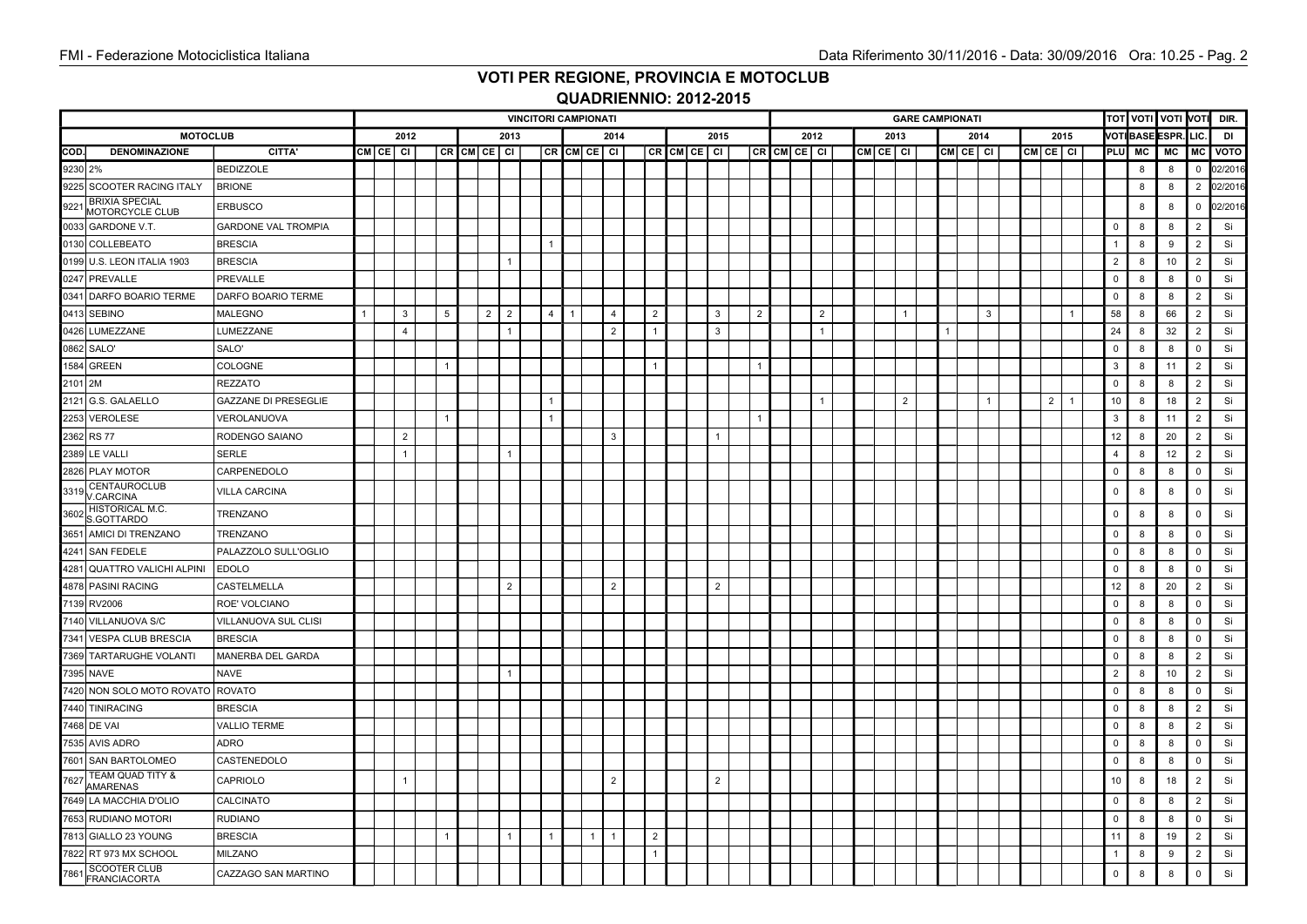|         |                                                |                             |          |                |                |             |   |                |                         | <b>VINCITORI CAMPIONATI</b> |                |                |                     |                |                |             |      |                |            |                | <b>GARE CAMPIONATI</b> |        |                |   |          |    |                | <b>TOT</b> VOTI VOTI VOTI |                 |                | DIR.        |
|---------|------------------------------------------------|-----------------------------|----------|----------------|----------------|-------------|---|----------------|-------------------------|-----------------------------|----------------|----------------|---------------------|----------------|----------------|-------------|------|----------------|------------|----------------|------------------------|--------|----------------|---|----------|----|----------------|---------------------------|-----------------|----------------|-------------|
|         | <b>MOTOCLUB</b>                                |                             |          | 2012           |                |             |   | 2013           |                         |                             | 2014           |                |                     | 2015           |                |             | 2012 |                |            | 2013           |                        |        | 2014           |   | 2015     |    |                | <b>VOTI BASE ESPR.</b>    |                 | LIC.           | DI          |
| COD.    | <b>DENOMINAZIONE</b>                           | CITTA'                      | CM CE CI |                |                | CR CM CE CI |   |                |                         | CR CM CE CI                 |                |                | $CR$ $CM$ $CE$ $Cl$ |                |                | CR CM CE CI |      |                | $CM$ CE CI |                |                        | CMCECI |                |   | CM CE CI |    |                | PLU MC                    | МC              | <b>MC</b>      | <b>VOTO</b> |
| 9230 2% |                                                | <b>BEDIZZOLE</b>            |          |                |                |             |   |                |                         |                             |                |                |                     |                |                |             |      |                |            |                |                        |        |                |   |          |    |                | 8                         | 8               | $\Omega$       | 02/2016     |
| 9225    | <b>SCOOTER RACING ITALY</b>                    | <b>BRIONE</b>               |          |                |                |             |   |                |                         |                             |                |                |                     |                |                |             |      |                |            |                |                        |        |                |   |          |    |                | 8                         | 8               | 2              | 02/2016     |
| 9221    | <b>BRIXIA SPECIAL</b><br>MOTORCYCLE CLUB       | <b>ERBUSCO</b>              |          |                |                |             |   |                |                         |                             |                |                |                     |                |                |             |      |                |            |                |                        |        |                |   |          |    |                | 8                         | 8               | $\mathbf 0$    | 02/2016     |
|         | 0033 GARDONE V.T.                              | <b>GARDONE VAL TROMPIA</b>  |          |                |                |             |   |                |                         |                             |                |                |                     |                |                |             |      |                |            |                |                        |        |                |   |          |    | $\mathsf 0$    | 8                         | 8               | $\overline{2}$ | Si          |
|         | 0130 COLLEBEATO                                | <b>BRESCIA</b>              |          |                |                |             |   |                |                         |                             |                |                |                     |                |                |             |      |                |            |                |                        |        |                |   |          |    | -1             | 8                         | 9               | 2              | Si          |
|         | 0199 U.S. LEON ITALIA 1903                     | <b>BRESCIA</b>              |          |                |                |             |   | $\overline{1}$ |                         |                             |                |                |                     |                |                |             |      |                |            |                |                        |        |                |   |          |    | $\overline{2}$ | 8                         | 10              | 2              | Si          |
| 0247    | PREVALLE                                       | PREVALLE                    |          |                |                |             |   |                |                         |                             |                |                |                     |                |                |             |      |                |            |                |                        |        |                |   |          |    | $\mathsf 0$    | 8                         | 8               | $\Omega$       | Si          |
|         | 0341 DARFO BOARIO TERME                        | DARFO BOARIO TERME          |          |                |                |             |   |                |                         |                             |                |                |                     |                |                |             |      |                |            |                |                        |        |                |   |          |    | $\mathbf 0$    | 8                         | 8               | 2              | Si          |
|         | 0413 SEBINO                                    | MALEGNO                     |          | $\mathbf{3}$   | 5              |             | 2 | $\overline{2}$ | $\overline{\mathbf{4}}$ |                             | $\overline{4}$ | $\overline{2}$ |                     | $\mathbf{3}$   | 2              |             |      | $\overline{2}$ |            | $\overline{1}$ |                        |        |                | 3 |          |    | 58             | 8                         | 66              | $\overline{2}$ | Si          |
|         | 0426 LUMEZZANE                                 | LUMEZZANE                   |          | $\overline{4}$ |                |             |   | $\overline{1}$ |                         |                             | $\overline{2}$ | -1             |                     | $\overline{3}$ |                |             |      | $\mathbf{1}$   |            |                |                        |        |                |   |          |    | 24             | 8                         | 32              | $\overline{2}$ | Si          |
|         | 0862 SALO'                                     | SALO'                       |          |                |                |             |   |                |                         |                             |                |                |                     |                |                |             |      |                |            |                |                        |        |                |   |          |    | $\mathsf 0$    | 8                         | 8               | $\mathbf 0$    | Si          |
|         | 1584 GREEN                                     | COLOGNE                     |          |                | $\overline{1}$ |             |   |                |                         |                             |                | $\overline{1}$ |                     |                | $\overline{1}$ |             |      |                |            |                |                        |        |                |   |          |    | $\mathbf{3}$   | 8                         | 11              | $\mathcal{P}$  | Si          |
| 2101    | 2M                                             | <b>REZZATO</b>              |          |                |                |             |   |                |                         |                             |                |                |                     |                |                |             |      |                |            |                |                        |        |                |   |          |    | $\mathsf 0$    | 8                         | 8               | 2              | Si          |
|         | 2121 G.S. GALAELLO                             | <b>GAZZANE DI PRESEGLIE</b> |          |                |                |             |   |                |                         |                             |                |                |                     |                |                |             |      | 1              |            | $\overline{2}$ |                        |        | $\overline{1}$ |   | 2        | -1 | 10             | 8                         | 18              | $\overline{2}$ | Si          |
| 2253    | <b>VEROLESE</b>                                | VEROLANUOVA                 |          |                |                |             |   |                |                         |                             |                |                |                     |                |                |             |      |                |            |                |                        |        |                |   |          |    | $\mathbf{3}$   | 8                         | 11              | $\overline{2}$ | Si          |
|         | 2362 RS 77                                     | RODENGO SAIANO              |          | $\overline{2}$ |                |             |   |                |                         |                             | 3              |                |                     | $\mathbf{1}$   |                |             |      |                |            |                |                        |        |                |   |          |    | 12             | 8                         | 20              | 2              | Si          |
| 2389    | <b>LE VALLI</b>                                | SERLE                       |          |                |                |             |   | $\overline{1}$ |                         |                             |                |                |                     |                |                |             |      |                |            |                |                        |        |                |   |          |    | $\overline{4}$ | 8                         | 12              | $\mathcal{P}$  | Si          |
|         | 2826 PLAY MOTOR                                | CARPENEDOLO                 |          |                |                |             |   |                |                         |                             |                |                |                     |                |                |             |      |                |            |                |                        |        |                |   |          |    | $\mathbf{0}$   | 8                         | 8               | $\Omega$       | Si          |
| 3319    | <b>CENTAUROCLUB</b><br>/.CARCINA               | VILLA CARCINA               |          |                |                |             |   |                |                         |                             |                |                |                     |                |                |             |      |                |            |                |                        |        |                |   |          |    | $\mathsf 0$    | 8                         | 8               | $\mathbf 0$    | Si          |
| 3602    | HISTORICAL M.C.<br>S.GOTTARDO                  | TRENZANO                    |          |                |                |             |   |                |                         |                             |                |                |                     |                |                |             |      |                |            |                |                        |        |                |   |          |    | $\mathbf 0$    | 8                         | 8               | 0              | Si          |
| 3651    | AMICI DI TRENZANO                              | TRENZANO                    |          |                |                |             |   |                |                         |                             |                |                |                     |                |                |             |      |                |            |                |                        |        |                |   |          |    | $\mathbf 0$    | 8                         | 8               | $\Omega$       | Si          |
|         | 4241 SAN FEDELE                                | PALAZZOLO SULL'OGLIO        |          |                |                |             |   |                |                         |                             |                |                |                     |                |                |             |      |                |            |                |                        |        |                |   |          |    | $\mathbf 0$    | 8                         | 8               | $\mathbf 0$    | Si          |
|         | 4281 QUATTRO VALICHI ALPINI                    | <b>EDOLO</b>                |          |                |                |             |   |                |                         |                             |                |                |                     |                |                |             |      |                |            |                |                        |        |                |   |          |    | $\mathsf 0$    | 8                         | 8               | 0              | Si          |
|         | 4878 PASINI RACING                             | CASTELMELLA                 |          |                |                |             |   | 2              |                         |                             | $\overline{2}$ |                |                     | $\overline{2}$ |                |             |      |                |            |                |                        |        |                |   |          |    | 12             | 8                         | 20              | $\overline{2}$ | Si          |
|         | 7139 RV2006                                    | ROE' VOLCIANO               |          |                |                |             |   |                |                         |                             |                |                |                     |                |                |             |      |                |            |                |                        |        |                |   |          |    | $\mathsf 0$    | 8                         | 8               | $\Omega$       | Si          |
|         | 7140 VILLANUOVA S/C                            | VILLANUOVA SUL CLISI        |          |                |                |             |   |                |                         |                             |                |                |                     |                |                |             |      |                |            |                |                        |        |                |   |          |    | $\mathsf 0$    | 8                         | 8               | $\Omega$       | Si          |
|         | 7341 VESPA CLUB BRESCIA                        | <b>BRESCIA</b>              |          |                |                |             |   |                |                         |                             |                |                |                     |                |                |             |      |                |            |                |                        |        |                |   |          |    | $\mathsf 0$    | 8                         | 8               | 0              | Si          |
|         | 7369 TARTARUGHE VOLANTI                        | MANERBA DEL GARDA           |          |                |                |             |   |                |                         |                             |                |                |                     |                |                |             |      |                |            |                |                        |        |                |   |          |    | $\mathsf 0$    | 8                         | 8               | $\mathcal{P}$  | Si          |
|         | 7395 NAVE                                      | <b>NAVE</b>                 |          |                |                |             |   | $\mathbf{1}$   |                         |                             |                |                |                     |                |                |             |      |                |            |                |                        |        |                |   |          |    | $\overline{2}$ | 8                         | 10 <sub>1</sub> | $\overline{2}$ | Si          |
| 7420    | NON SOLO MOTO ROVATO ROVATO                    |                             |          |                |                |             |   |                |                         |                             |                |                |                     |                |                |             |      |                |            |                |                        |        |                |   |          |    | $\mathsf 0$    | 8                         | 8               | $\Omega$       | Si          |
|         | 7440 TINIRACING                                | <b>BRESCIA</b>              |          |                |                |             |   |                |                         |                             |                |                |                     |                |                |             |      |                |            |                |                        |        |                |   |          |    | $\mathbf{0}$   | 8                         | 8               | 2              | Si          |
|         | 7468 DE VAI                                    | <b>VALLIO TERME</b>         |          |                |                |             |   |                |                         |                             |                |                |                     |                |                |             |      |                |            |                |                        |        |                |   |          |    | $\mathbf{0}$   | 8                         | 8               | 2              | Si          |
|         | 7535 AVIS ADRO                                 | <b>ADRO</b>                 |          |                |                |             |   |                |                         |                             |                |                |                     |                |                |             |      |                |            |                |                        |        |                |   |          |    | $\mathsf 0$    | 8                         | 8               | $\Omega$       | Si          |
| 7601    | <b>SAN BARTOLOMEO</b>                          | CASTENEDOLO                 |          |                |                |             |   |                |                         |                             |                |                |                     |                |                |             |      |                |            |                |                        |        |                |   |          |    | $\mathbf{0}$   | 8                         | 8               | $\Omega$       | Si          |
| 7627    | <b>TEAM QUAD TITY &amp;</b><br><b>AMARENAS</b> | CAPRIOLO                    |          |                |                |             |   |                |                         |                             | $\overline{2}$ |                |                     | $\overline{2}$ |                |             |      |                |            |                |                        |        |                |   |          |    | 10             | 8                         | 18              | 2              | Si          |
|         | 7649 LA MACCHIA D'OLIO                         | CALCINATO                   |          |                |                |             |   |                |                         |                             |                |                |                     |                |                |             |      |                |            |                |                        |        |                |   |          |    | $\mathbf 0$    | 8                         | 8               | $\overline{2}$ | Si          |
|         | 7653 RUDIANO MOTORI                            | <b>RUDIANO</b>              |          |                |                |             |   |                |                         |                             |                |                |                     |                |                |             |      |                |            |                |                        |        |                |   |          |    | $\mathsf 0$    | 8                         | 8               | $\mathbf{0}$   | Si          |
|         | 7813 GIALLO 23 YOUNG                           | <b>BRESCIA</b>              |          |                |                |             |   | $\overline{1}$ |                         | $\mathbf{1}$                |                | $\overline{2}$ |                     |                |                |             |      |                |            |                |                        |        |                |   |          |    | 11             | $\overline{8}$            | 19              | 2              | Si          |
|         | 7822 RT 973 MX SCHOOL                          | <b>MILZANO</b>              |          |                |                |             |   |                |                         |                             |                |                |                     |                |                |             |      |                |            |                |                        |        |                |   |          |    | $\mathbf{1}$   | 8                         | 9               | $\overline{2}$ | Si          |
|         | <b>SCOOTER CLUB</b><br>7861 SUUUTLITER         | CAZZAGO SAN MARTINO         |          |                |                |             |   |                |                         |                             |                |                |                     |                |                |             |      |                |            |                |                        |        |                |   |          |    | $\mathbf{0}$   | 8                         | 8               | $\mathbf 0$    | Si          |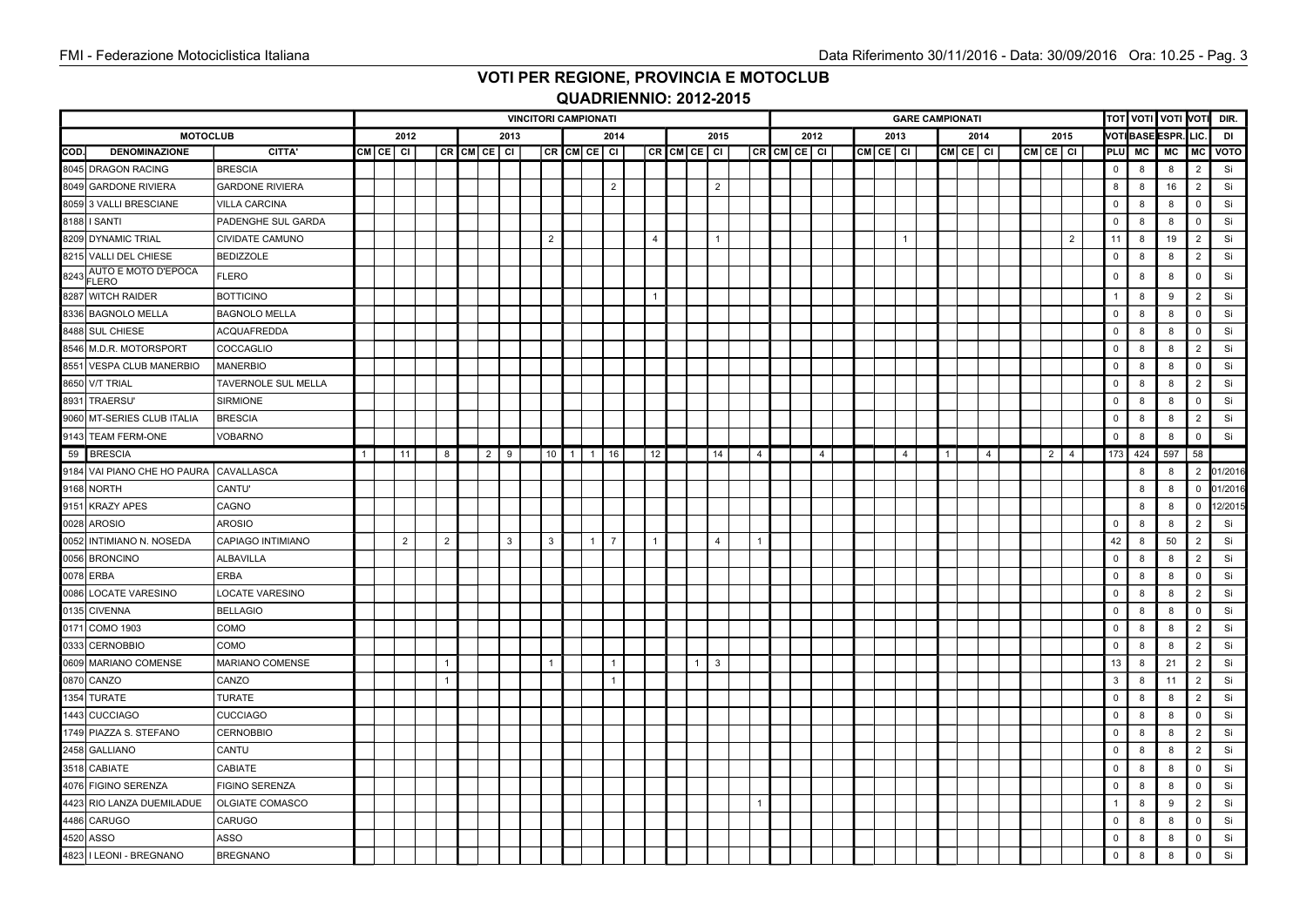|      |                                     |                        |              |                |                |             |              | <b>VINCITORI CAMPIONATI</b> |           |                |                     |                |          |              |                |                |         |      |                |            |                | <b>GARE CAMPIONATI</b> |   |                           |                |  |          |                |              | <b>TOT VOTI VOTI VOTI</b> |     |                | DIR.        |
|------|-------------------------------------|------------------------|--------------|----------------|----------------|-------------|--------------|-----------------------------|-----------|----------------|---------------------|----------------|----------|--------------|----------------|----------------|---------|------|----------------|------------|----------------|------------------------|---|---------------------------|----------------|--|----------|----------------|--------------|---------------------------|-----|----------------|-------------|
|      | <b>MOTOCLUB</b>                     |                        |              | 2012           |                |             | 2013         |                             |           |                | 2014                |                |          |              | 2015           |                |         | 2012 |                |            | 2013           |                        |   |                           | 2014           |  | 2015     |                |              | <b>VOTIBASE ESPR.</b>     |     | LIC.           | DI          |
| COD. | <b>DENOMINAZIONE</b>                | CITTA'                 | CM CE CI     |                |                | CR CM CE CI |              |                             |           |                | $CR$ $CM$ $CE$ $CI$ |                | CRCMCECI |              |                |                | CRCMCEC |      |                | $CM$ CE CI |                |                        |   | $cm$ CE $\overline{c}$ CI |                |  | CM CE CI |                | PLU          | MC                        | MC  | <b>MC</b>      | <b>VOTO</b> |
|      | 8045 DRAGON RACING                  | <b>BRESCIA</b>         |              |                |                |             |              |                             |           |                |                     |                |          |              |                |                |         |      |                |            |                |                        |   |                           |                |  |          |                | $\mathsf 0$  | 8                         | 8   | $\overline{2}$ | Si          |
|      | 8049 GARDONE RIVIERA                | <b>GARDONE RIVIERA</b> |              |                |                |             |              |                             |           |                | $\overline{2}$      |                |          |              | $\overline{2}$ |                |         |      |                |            |                |                        |   |                           |                |  |          |                | 8            | 8                         | 16  | $\overline{2}$ | Si          |
|      | 8059 3 VALLI BRESCIANE              | <b>VILLA CARCINA</b>   |              |                |                |             |              |                             |           |                |                     |                |          |              |                |                |         |      |                |            |                |                        |   |                           |                |  |          |                | $\mathsf 0$  | 8                         | 8   | $\mathbf 0$    | Si          |
|      | 8188 I SANTI                        | PADENGHE SUL GARDA     |              |                |                |             |              |                             |           |                |                     |                |          |              |                |                |         |      |                |            |                |                        |   |                           |                |  |          |                | $\mathsf 0$  | 8                         | 8   | $\mathbf 0$    | Si          |
|      | 8209 DYNAMIC TRIAL                  | CIVIDATE CAMUNO        |              |                |                |             |              | $\overline{2}$              |           |                |                     | $\overline{4}$ |          |              | $\mathbf{1}$   |                |         |      |                |            | $\mathbf{1}$   |                        |   |                           |                |  |          | 2              | 11           | 8                         | 19  | $\overline{2}$ | Si          |
|      | 8215 VALLI DEL CHIESE               | <b>BEDIZZOLE</b>       |              |                |                |             |              |                             |           |                |                     |                |          |              |                |                |         |      |                |            |                |                        |   |                           |                |  |          |                | $\mathsf 0$  | 8                         | 8   | $\overline{2}$ | Si          |
| 8243 | AUTO E MOTO D'EPOCA<br><b>FLERO</b> | <b>FLERO</b>           |              |                |                |             |              |                             |           |                |                     |                |          |              |                |                |         |      |                |            |                |                        |   |                           |                |  |          |                | $\mathsf 0$  | 8                         | 8   | $\mathsf 0$    | Si          |
|      | 8287 WITCH RAIDER                   | <b>BOTTICINO</b>       |              |                |                |             |              |                             |           |                |                     | $\mathbf{1}$   |          |              |                |                |         |      |                |            |                |                        |   |                           |                |  |          |                | $\mathbf{1}$ | 8                         | 9   | 2              | Si          |
|      | 8336 BAGNOLO MELLA                  | <b>BAGNOLO MELLA</b>   |              |                |                |             |              |                             |           |                |                     |                |          |              |                |                |         |      |                |            |                |                        |   |                           |                |  |          |                | $\mathbf 0$  | 8                         | 8   | 0              | Si          |
|      | 8488 SUL CHIESE                     | <b>ACQUAFREDDA</b>     |              |                |                |             |              |                             |           |                |                     |                |          |              |                |                |         |      |                |            |                |                        |   |                           |                |  |          |                | $\mathbf 0$  | 8                         | 8   | $\Omega$       | Si          |
|      | 8546 M.D.R. MOTORSPORT              | COCCAGLIO              |              |                |                |             |              |                             |           |                |                     |                |          |              |                |                |         |      |                |            |                |                        |   |                           |                |  |          |                | $\mathsf 0$  | 8                         | 8   | 2              | Si          |
|      | 8551 VESPA CLUB MANERBIO            | <b>MANERBIO</b>        |              |                |                |             |              |                             |           |                |                     |                |          |              |                |                |         |      |                |            |                |                        |   |                           |                |  |          |                | $\mathsf 0$  | 8                         | 8   | $\mathbf 0$    | Si          |
|      | 8650 V/T TRIAL                      | TAVERNOLE SUL MELLA    |              |                |                |             |              |                             |           |                |                     |                |          |              |                |                |         |      |                |            |                |                        |   |                           |                |  |          |                | $\mathsf 0$  | 8                         | 8   | 2              | Si          |
|      | 8931 TRAERSU'                       | <b>SIRMIONE</b>        |              |                |                |             |              |                             |           |                |                     |                |          |              |                |                |         |      |                |            |                |                        |   |                           |                |  |          |                | $\mathsf 0$  | 8                         | 8   | $\Omega$       | Si          |
|      | 9060 MT-SERIES CLUB ITALIA          | <b>BRESCIA</b>         |              |                |                |             |              |                             |           |                |                     |                |          |              |                |                |         |      |                |            |                |                        |   |                           |                |  |          |                | $\mathsf 0$  | 8                         | 8   | $\overline{2}$ | Si          |
|      | 9143 TEAM FERM-ONE                  | VOBARNO                |              |                |                |             |              |                             |           |                |                     |                |          |              |                |                |         |      |                |            |                |                        |   |                           |                |  |          |                | $\mathsf 0$  | 8                         | 8   | $\mathbf 0$    | Si          |
|      | 59 BRESCIA                          |                        | $\mathbf{1}$ | 11             | 8              | 2           | 9            | 10 <sup>1</sup>             | $\vert$ 1 | $\overline{1}$ | 16                  | 12             |          |              | 14             | $\overline{4}$ |         |      | $\overline{4}$ |            | $\overline{4}$ |                        | 1 |                           | $\overline{4}$ |  | 2        | $\overline{4}$ | 173          | 424                       | 597 | 58             |             |
|      | 9184 VAI PIANO CHE HO PAURA         | CAVALLASCA             |              |                |                |             |              |                             |           |                |                     |                |          |              |                |                |         |      |                |            |                |                        |   |                           |                |  |          |                |              | 8                         | 8   |                | 2 01/2016   |
|      | 9168 NORTH                          | CANTU'                 |              |                |                |             |              |                             |           |                |                     |                |          |              |                |                |         |      |                |            |                |                        |   |                           |                |  |          |                |              | 8                         | 8   | $\Omega$       | 01/2016     |
| 9151 | <b>KRAZY APES</b>                   | CAGNO                  |              |                |                |             |              |                             |           |                |                     |                |          |              |                |                |         |      |                |            |                |                        |   |                           |                |  |          |                |              | 8                         | 8   | $\Omega$       | 12/2015     |
|      | 0028 AROSIO                         | <b>AROSIO</b>          |              |                |                |             |              |                             |           |                |                     |                |          |              |                |                |         |      |                |            |                |                        |   |                           |                |  |          |                | $\mathbf 0$  | 8                         | 8   | 2              | Si          |
|      | 0052 INTIMIANO N. NOSEDA            | CAPIAGO INTIMIANO      |              | $\overline{2}$ | $\overline{2}$ |             | $\mathbf{3}$ | 3                           |           | $\mathbf{1}$   | $\overline{7}$      |                |          |              | $\overline{4}$ |                |         |      |                |            |                |                        |   |                           |                |  |          |                | 42           | 8                         | 50  | $\overline{2}$ | Si          |
|      | 0056 BRONCINO                       | <b>ALBAVILLA</b>       |              |                |                |             |              |                             |           |                |                     |                |          |              |                |                |         |      |                |            |                |                        |   |                           |                |  |          |                | $\mathbf 0$  | 8                         | 8   | 2              | Si          |
|      | 0078 ERBA                           | <b>ERBA</b>            |              |                |                |             |              |                             |           |                |                     |                |          |              |                |                |         |      |                |            |                |                        |   |                           |                |  |          |                | $\mathbf 0$  | 8                         | 8   | $\mathbf 0$    | Si          |
|      | 0086 LOCATE VARESINO                | LOCATE VARESINO        |              |                |                |             |              |                             |           |                |                     |                |          |              |                |                |         |      |                |            |                |                        |   |                           |                |  |          |                | $\mathbf 0$  | 8                         | 8   | $\overline{2}$ | Si          |
|      | 0135 CIVENNA                        | <b>BELLAGIO</b>        |              |                |                |             |              |                             |           |                |                     |                |          |              |                |                |         |      |                |            |                |                        |   |                           |                |  |          |                | $\mathsf 0$  | 8                         | 8   | $\mathbf 0$    | Si          |
|      | 0171 COMO 1903                      | COMO                   |              |                |                |             |              |                             |           |                |                     |                |          |              |                |                |         |      |                |            |                |                        |   |                           |                |  |          |                | $\mathsf 0$  | 8                         | 8   | 2              | Si          |
| 0333 | <b>CERNOBBIO</b>                    | COMO                   |              |                |                |             |              |                             |           |                |                     |                |          |              |                |                |         |      |                |            |                |                        |   |                           |                |  |          |                | $\mathsf 0$  | 8                         | 8   | $\overline{2}$ | Si          |
|      | 0609 MARIANO COMENSE                | <b>MARIANO COMENSE</b> |              |                | $\mathbf{1}$   |             |              |                             |           |                | $\overline{1}$      |                |          | $\mathbf{1}$ | $\mathbf{3}$   |                |         |      |                |            |                |                        |   |                           |                |  |          |                | 13           | 8                         | 21  | 2              | Si          |
|      | 0870 CANZO                          | CANZO                  |              |                |                |             |              |                             |           |                |                     |                |          |              |                |                |         |      |                |            |                |                        |   |                           |                |  |          |                | $\mathbf{3}$ | 8                         | 11  | $\overline{2}$ | Si          |
|      | 1354 TURATE                         | <b>TURATE</b>          |              |                |                |             |              |                             |           |                |                     |                |          |              |                |                |         |      |                |            |                |                        |   |                           |                |  |          |                | $\mathsf 0$  | 8                         | 8   | 2              | Si          |
|      | 1443 CUCCIAGO                       | <b>CUCCIAGO</b>        |              |                |                |             |              |                             |           |                |                     |                |          |              |                |                |         |      |                |            |                |                        |   |                           |                |  |          |                | $\mathsf 0$  | 8                         | 8   | $\Omega$       | Si          |
|      | 1749 PIAZZA S. STEFANO              | <b>CERNOBBIO</b>       |              |                |                |             |              |                             |           |                |                     |                |          |              |                |                |         |      |                |            |                |                        |   |                           |                |  |          |                | $\mathbf 0$  | 8                         | 8   | 2              | Si          |
|      | 2458 GALLIANO                       | CANTU                  |              |                |                |             |              |                             |           |                |                     |                |          |              |                |                |         |      |                |            |                |                        |   |                           |                |  |          |                | $\mathsf 0$  | 8                         | 8   | 2              | Si          |
|      | 3518 CABIATE                        | CABIATE                |              |                |                |             |              |                             |           |                |                     |                |          |              |                |                |         |      |                |            |                |                        |   |                           |                |  |          |                | $\mathsf 0$  | 8                         | 8   | $\Omega$       | Si          |
|      | 4076 FIGINO SERENZA                 | <b>FIGINO SERENZA</b>  |              |                |                |             |              |                             |           |                |                     |                |          |              |                |                |         |      |                |            |                |                        |   |                           |                |  |          |                | $\mathsf 0$  | 8                         | 8   | $\Omega$       | Si          |
|      | 4423 RIO LANZA DUEMILADUE           | OLGIATE COMASCO        |              |                |                |             |              |                             |           |                |                     |                |          |              |                |                |         |      |                |            |                |                        |   |                           |                |  |          |                | -1           | 8                         | 9   | $\mathcal{P}$  | Si          |
|      | 4486 CARUGO                         | CARUGO                 |              |                |                |             |              |                             |           |                |                     |                |          |              |                |                |         |      |                |            |                |                        |   |                           |                |  |          |                | $\mathsf 0$  | 8                         | 8   | $\Omega$       | Si          |
| 4520 | <b>ASSO</b>                         | <b>ASSO</b>            |              |                |                |             |              |                             |           |                |                     |                |          |              |                |                |         |      |                |            |                |                        |   |                           |                |  |          |                | $\mathsf 0$  | 8                         | 8   | $\mathbf 0$    | Si          |
|      | 4823   LEONI - BREGNANO             | <b>BREGNANO</b>        |              |                |                |             |              |                             |           |                |                     |                |          |              |                |                |         |      |                |            |                |                        |   |                           |                |  |          |                | $\mathbf 0$  | 8                         | 8   | $\mathbf 0$    | Si          |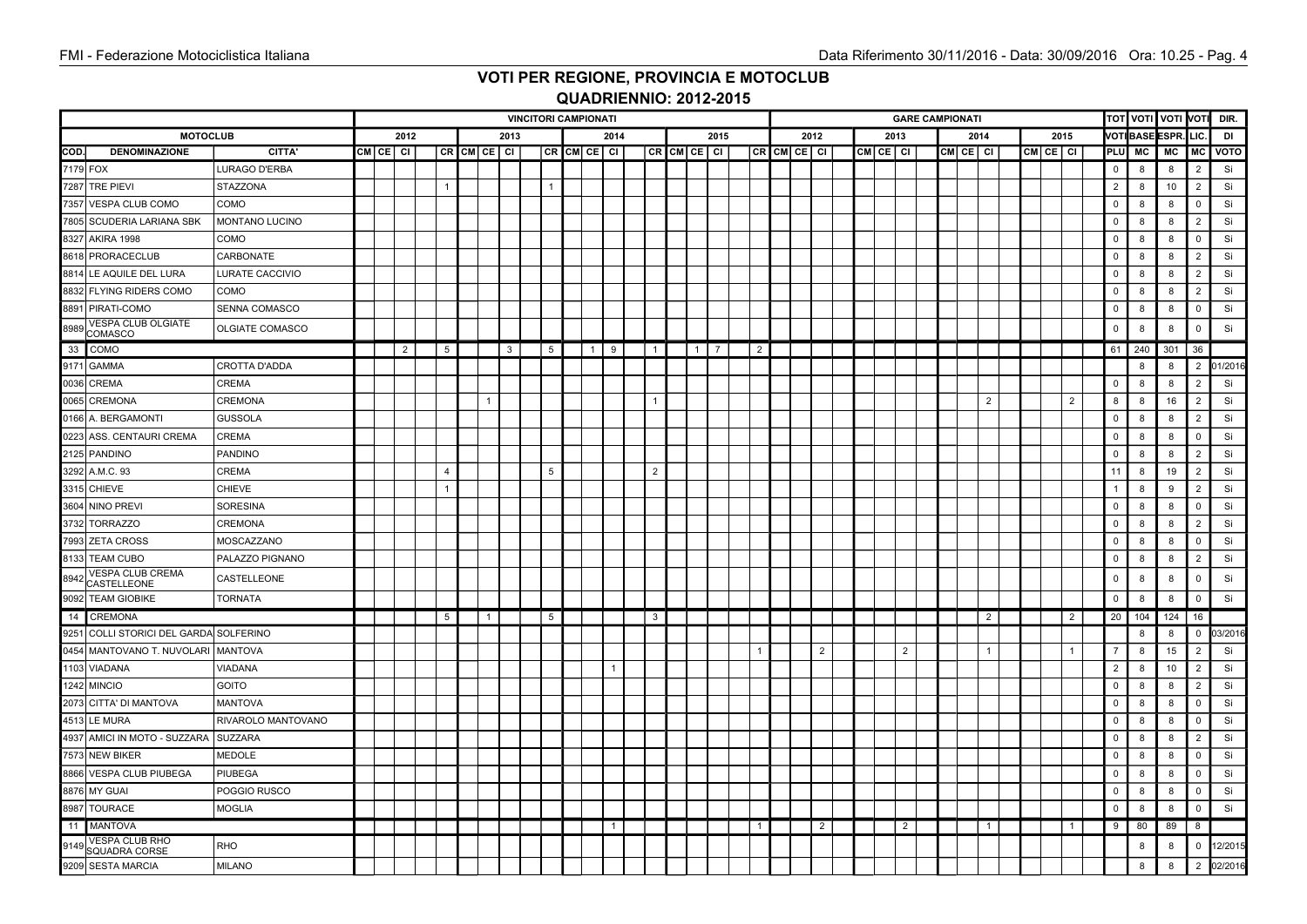|      |                                        |                      |          |                |                 |                |              |                 |              | <b>VINCITORI CAMPIONATI</b> |                |             |            |   |  |                     |                |          |      |                | <b>GARE CAMPIONATI</b> |      |                |          |                |                |     |                        | <b>TOT VOTI VOTI VOTI</b> | DIR.        |
|------|----------------------------------------|----------------------|----------|----------------|-----------------|----------------|--------------|-----------------|--------------|-----------------------------|----------------|-------------|------------|---|--|---------------------|----------------|----------|------|----------------|------------------------|------|----------------|----------|----------------|----------------|-----|------------------------|---------------------------|-------------|
|      | <b>MOTOCLUB</b>                        |                      |          | 2012           |                 |                | 2013         |                 |              | 2014                        |                |             | 2015       |   |  | 2012                |                |          | 2013 |                |                        | 2014 |                |          | 2015           |                |     | <b>VOTI BASE ESPR.</b> | LIC.                      | DI          |
| COD. | <b>DENOMINAZIONE</b>                   | CITTA'               | CM CE CI |                |                 | CRCMCEC        |              |                 |              | $CR$ $CM$ $CE$ $CI$         |                | CR CM CE CI |            |   |  | $CR$ $CM$ $CE$ $Cl$ |                | CM CE CI |      |                | CM CE CI               |      |                | CM CE CI |                | PLU            | МC  | МC                     | і мс                      | <b>VOTO</b> |
|      | 7179 FOX                               | LURAGO D'ERBA        |          |                |                 |                |              |                 |              |                             |                |             |            |   |  |                     |                |          |      |                |                        |      |                |          |                | $\mathsf 0$    | 8   | 8                      | $\overline{2}$            | Si          |
| 7287 | <b>TRE PIEVI</b>                       | STAZZONA             |          |                | $\overline{1}$  |                |              | $\mathbf{1}$    |              |                             |                |             |            |   |  |                     |                |          |      |                |                        |      |                |          |                | 2              | 8   | 10 <sup>1</sup>        | 2                         | Si          |
| 7357 | <b>VESPA CLUB COMO</b>                 | COMO                 |          |                |                 |                |              |                 |              |                             |                |             |            |   |  |                     |                |          |      |                |                        |      |                |          |                | $\mathbf 0$    | 8   | 8                      | $\Omega$                  | Si          |
|      | 7805 SCUDERIA LARIANA SBK              | MONTANO LUCINO       |          |                |                 |                |              |                 |              |                             |                |             |            |   |  |                     |                |          |      |                |                        |      |                |          |                | $\mathbf{0}$   | 8   | 8                      | $\mathcal{P}$             | Si          |
|      | 8327 AKIRA 1998                        | COMO                 |          |                |                 |                |              |                 |              |                             |                |             |            |   |  |                     |                |          |      |                |                        |      |                |          |                | $\mathbf{0}$   | 8   | 8                      | $\mathbf 0$               | Si          |
|      | 8618 PRORACECLUB                       | CARBONATE            |          |                |                 |                |              |                 |              |                             |                |             |            |   |  |                     |                |          |      |                |                        |      |                |          |                | $\mathsf 0$    | 8   | 8                      | 2                         | Si          |
|      | 8814 LE AQUILE DEL LURA                | LURATE CACCIVIO      |          |                |                 |                |              |                 |              |                             |                |             |            |   |  |                     |                |          |      |                |                        |      |                |          |                | $\mathsf 0$    | 8   | 8                      | 2                         | Si          |
|      | 8832 FLYING RIDERS COMO                | COMO                 |          |                |                 |                |              |                 |              |                             |                |             |            |   |  |                     |                |          |      |                |                        |      |                |          |                | $\mathsf 0$    | 8   | 8                      | $\overline{2}$            | Si          |
|      | 8891 PIRATI-COMO                       | SENNA COMASCO        |          |                |                 |                |              |                 |              |                             |                |             |            |   |  |                     |                |          |      |                |                        |      |                |          |                | $\mathsf 0$    | 8   | 8                      | $\mathbf{0}$              | Si          |
| 8989 | <b>VESPA CLUB OLGIATE</b><br>COMASCO   | OLGIATE COMASCO      |          |                |                 |                |              |                 |              |                             |                |             |            |   |  |                     |                |          |      |                |                        |      |                |          |                | $\mathsf 0$    | 8   | 8                      | $\mathbf 0$               | Si          |
|      | 33 COMO                                |                      |          | $\overline{2}$ | $5\overline{5}$ |                | $\mathbf{3}$ | 5               | $\mathbf{1}$ | 9                           | $\overline{1}$ |             | $1 \mid 7$ | 2 |  |                     |                |          |      |                |                        |      |                |          |                | 61             | 240 | 301                    | 36                        |             |
|      | 9171 GAMMA                             | <b>CROTTA D'ADDA</b> |          |                |                 |                |              |                 |              |                             |                |             |            |   |  |                     |                |          |      |                |                        |      |                |          |                |                | 8   | 8                      | $\overline{2}$            | 01/2016     |
| 0036 | <b>CREMA</b>                           | CREMA                |          |                |                 |                |              |                 |              |                             |                |             |            |   |  |                     |                |          |      |                |                        |      |                |          |                | $\mathbf 0$    | 8   | 8                      | $\overline{2}$            | Si          |
|      | 0065 CREMONA                           | CREMONA              |          |                |                 | $\mathbf{1}$   |              |                 |              |                             | $\overline{1}$ |             |            |   |  |                     |                |          |      |                |                        |      | $\overline{2}$ |          | 2              | 8              | 8   | 16                     | 2                         | Si          |
|      | 0166 A. BERGAMONTI                     | <b>GUSSOLA</b>       |          |                |                 |                |              |                 |              |                             |                |             |            |   |  |                     |                |          |      |                |                        |      |                |          |                | $\mathsf 0$    | 8   | 8                      | $\overline{2}$            | Si          |
|      | 0223 ASS. CENTAURI CREMA               | CREMA                |          |                |                 |                |              |                 |              |                             |                |             |            |   |  |                     |                |          |      |                |                        |      |                |          |                | 0              | 8   | 8                      | 0                         | Si          |
|      | 2125 PANDINO                           | <b>PANDINO</b>       |          |                |                 |                |              |                 |              |                             |                |             |            |   |  |                     |                |          |      |                |                        |      |                |          |                | $\mathsf 0$    | 8   | 8                      | 2                         | Si          |
|      | 3292 A.M.C. 93                         | CREMA                |          |                | $\overline{4}$  |                |              | 5               |              |                             | $\overline{2}$ |             |            |   |  |                     |                |          |      |                |                        |      |                |          |                | 11             | 8   | 19                     | 2                         | Si          |
|      | 3315 CHIEVE                            | <b>CHIEVE</b>        |          |                | $\overline{1}$  |                |              |                 |              |                             |                |             |            |   |  |                     |                |          |      |                |                        |      |                |          |                | $\overline{1}$ | 8   | 9                      | $\overline{2}$            | Si          |
| 3604 | <b>NINO PREVI</b>                      | <b>SORESINA</b>      |          |                |                 |                |              |                 |              |                             |                |             |            |   |  |                     |                |          |      |                |                        |      |                |          |                | $\mathsf 0$    | 8   | 8                      | $\mathbf 0$               | Si          |
| 3732 | <b>TORRAZZO</b>                        | CREMONA              |          |                |                 |                |              |                 |              |                             |                |             |            |   |  |                     |                |          |      |                |                        |      |                |          |                | $\mathbf{0}$   | 8   | 8                      | 2                         | Si          |
| 7993 | <b>ZETA CROSS</b>                      | MOSCAZZANO           |          |                |                 |                |              |                 |              |                             |                |             |            |   |  |                     |                |          |      |                |                        |      |                |          |                | $\mathsf 0$    | 8   | 8                      | $\Omega$                  | Si          |
| 8133 | <b>TEAM CUBO</b>                       | PALAZZO PIGNANO      |          |                |                 |                |              |                 |              |                             |                |             |            |   |  |                     |                |          |      |                |                        |      |                |          |                | $\mathbf{0}$   | 8   | 8                      | $\overline{2}$            | Si          |
| 8942 | VESPA CLUB CREMA<br>CASTELLEONE        | CASTELLEONE          |          |                |                 |                |              |                 |              |                             |                |             |            |   |  |                     |                |          |      |                |                        |      |                |          |                | $\mathsf 0$    | 8   | 8                      | $\mathbf 0$               | Si          |
| 9092 | <b>TEAM GIOBIKE</b>                    | <b>TORNATA</b>       |          |                |                 |                |              |                 |              |                             |                |             |            |   |  |                     |                |          |      |                |                        |      |                |          |                | $\mathsf 0$    | 8   | 8                      | $\mathbf 0$               | Si          |
|      | 14 CREMONA                             |                      |          |                | $5\overline{5}$ | $\overline{1}$ |              | $5\overline{5}$ |              |                             | 3              |             |            |   |  |                     |                |          |      |                |                        |      | 2              |          | $\overline{2}$ | 20             | 104 | 124                    | 16                        |             |
| 9251 | COLLI STORICI DEL GARDA SOLFERINO      |                      |          |                |                 |                |              |                 |              |                             |                |             |            |   |  |                     |                |          |      |                |                        |      |                |          |                |                | 8   | 8                      | $\mathbf 0$               | 03/2016     |
|      | 0454 MANTOVANO T. NUVOLARI             | <b>MANTOVA</b>       |          |                |                 |                |              |                 |              |                             |                |             |            |   |  |                     | $\overline{2}$ |          |      | $\overline{2}$ |                        |      | $\mathbf{1}$   |          |                | $\overline{7}$ | 8   | 15                     | 2                         | Si          |
|      | 1103 VIADANA                           | VIADANA              |          |                |                 |                |              |                 |              |                             |                |             |            |   |  |                     |                |          |      |                |                        |      |                |          |                | 2              | 8   | 10                     | $\overline{2}$            | Si          |
|      | 1242 MINCIO                            | <b>GOITO</b>         |          |                |                 |                |              |                 |              |                             |                |             |            |   |  |                     |                |          |      |                |                        |      |                |          |                | $\mathsf 0$    | 8   | 8                      | $\overline{2}$            | Si          |
|      | 2073 CITTA' DI MANTOVA                 | <b>MANTOVA</b>       |          |                |                 |                |              |                 |              |                             |                |             |            |   |  |                     |                |          |      |                |                        |      |                |          |                | $\mathsf 0$    | 8   | 8                      | $\mathbf 0$               | Si          |
|      | 4513 LE MURA                           | RIVAROLO MANTOVANO   |          |                |                 |                |              |                 |              |                             |                |             |            |   |  |                     |                |          |      |                |                        |      |                |          |                | $\mathbf 0$    | 8   | 8                      | $\mathbf 0$               | Si          |
|      | 4937 AMICI IN MOTO - SUZZARA           | <b>SUZZARA</b>       |          |                |                 |                |              |                 |              |                             |                |             |            |   |  |                     |                |          |      |                |                        |      |                |          |                | $\mathsf 0$    | 8   | 8                      | $\overline{2}$            | Si          |
|      | 7573 NEW BIKER                         | <b>MEDOLE</b>        |          |                |                 |                |              |                 |              |                             |                |             |            |   |  |                     |                |          |      |                |                        |      |                |          |                | $\mathbf 0$    | 8   | 8                      | $\mathbf 0$               | Si          |
| 8866 | <b>VESPA CLUB PIUBEGA</b>              | <b>PIUBEGA</b>       |          |                |                 |                |              |                 |              |                             |                |             |            |   |  |                     |                |          |      |                |                        |      |                |          |                | $\mathsf 0$    | 8   | 8                      | 0                         | Si          |
|      | 8876 MY GUAI                           | POGGIO RUSCO         |          |                |                 |                |              |                 |              |                             |                |             |            |   |  |                     |                |          |      |                |                        |      |                |          |                | $\mathsf 0$    | 8   | 8                      | $\Omega$                  | Si          |
| 8987 | <b>TOURACE</b>                         | <b>MOGLIA</b>        |          |                |                 |                |              |                 |              |                             |                |             |            |   |  |                     |                |          |      |                |                        |      |                |          |                | $\mathsf 0$    | 8   | 8                      | 0                         | Si          |
|      | 11 MANTOVA                             |                      |          |                |                 |                |              |                 |              |                             |                |             |            |   |  |                     | 2              |          |      | 2              |                        |      |                |          |                | 9              | 80  | 89                     | 8                         |             |
| 9149 | <b>VESPA CLUB RHO</b><br>SQUADRA CORSE | RHO                  |          |                |                 |                |              |                 |              |                             |                |             |            |   |  |                     |                |          |      |                |                        |      |                |          |                |                | 8   | 8                      | $\mathbf 0$               | 12/2015     |
|      | 9209 SESTA MARCIA                      | <b>MILANO</b>        |          |                |                 |                |              |                 |              |                             |                |             |            |   |  |                     |                |          |      |                |                        |      |                |          |                |                | 8   | 8                      |                           | 2 02/2016   |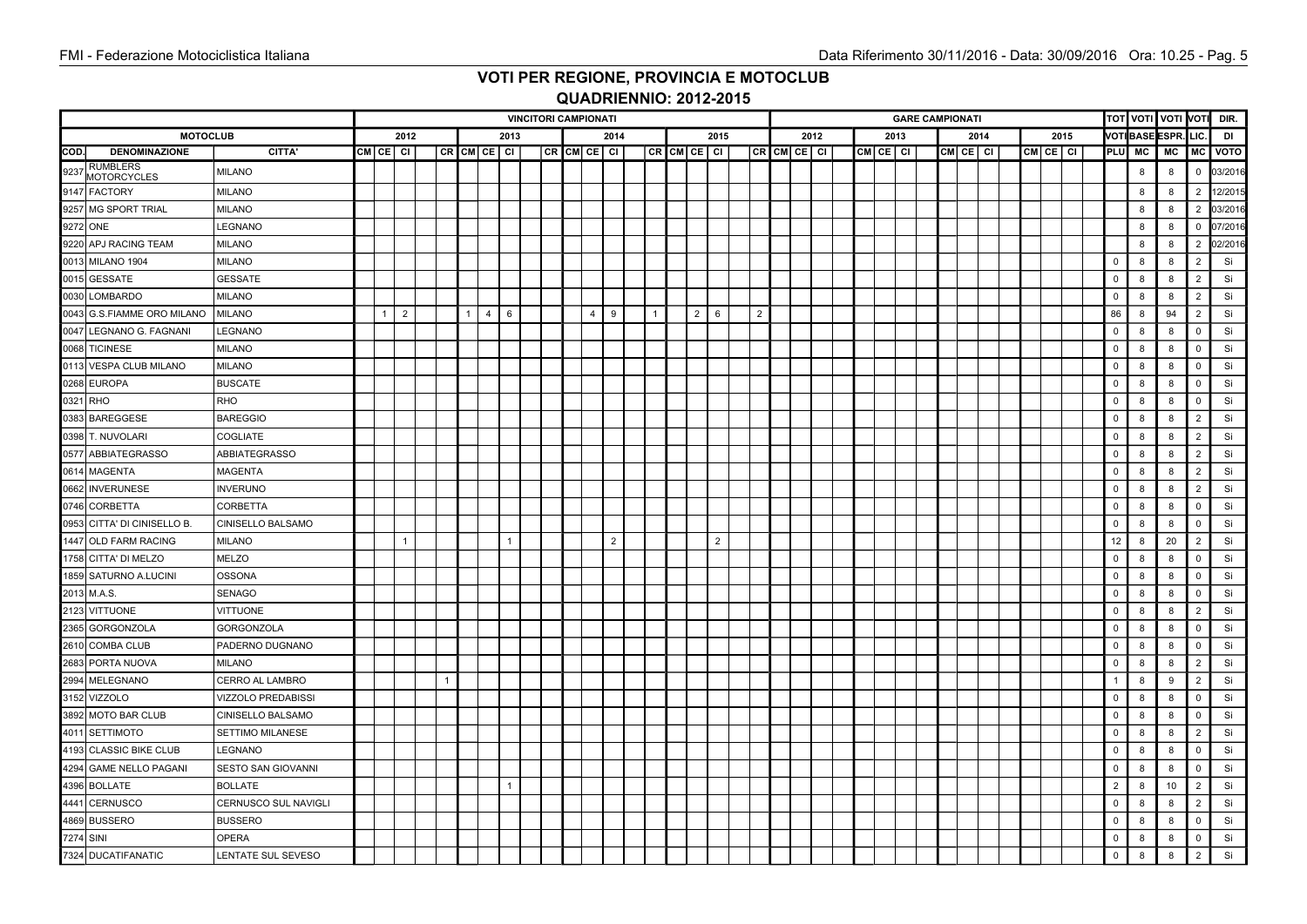|           |                                       |                      |          |                |                |          |                | <b>VINCITORI CAMPIONATI</b> |  |          |                |                |  |                |                |                     |      |  |         |      | <b>GARE CAMPIONATI</b> |          |      |  |          |                     | <b>TOT VOTI VOTI VOTI</b> |    |                | DIR.        |
|-----------|---------------------------------------|----------------------|----------|----------------|----------------|----------|----------------|-----------------------------|--|----------|----------------|----------------|--|----------------|----------------|---------------------|------|--|---------|------|------------------------|----------|------|--|----------|---------------------|---------------------------|----|----------------|-------------|
|           | <b>MOTOCLUB</b>                       |                      |          | 2012           |                |          |                | 2013                        |  |          |                | 2014           |  |                | 2015           |                     | 2012 |  |         | 2013 |                        |          | 2014 |  | 2015     |                     | <b>VOTIBASE ESPR.</b>     |    | LIC.           | DI          |
| COD.      | <b>DENOMINAZIONE</b>                  | CITTA'               | CM CE CI |                |                | CR CM CE |                | <b>CI</b>                   |  | CR CM CE |                | <b>CI</b>      |  | CR CM CE CI    |                | $CR$ $CM$ $CE$ $CI$ |      |  | CMCE CI |      |                        | CM CE CI |      |  | CM CE CI |                     | PLU MC                    | MC | MC             | <b>VOTO</b> |
| 9237      | <b>RUMBLERS</b><br><b>MOTORCYCLES</b> | <b>MILANO</b>        |          |                |                |          |                |                             |  |          |                |                |  |                |                |                     |      |  |         |      |                        |          |      |  |          |                     | 8                         | 8  | $\mathbf{0}$   | 03/2016     |
|           | 9147 FACTORY                          | <b>MILANO</b>        |          |                |                |          |                |                             |  |          |                |                |  |                |                |                     |      |  |         |      |                        |          |      |  |          |                     | 8                         | 8  | 2              | 12/2015     |
|           | 9257 MG SPORT TRIAL                   | <b>MILANO</b>        |          |                |                |          |                |                             |  |          |                |                |  |                |                |                     |      |  |         |      |                        |          |      |  |          |                     | 8                         | 8  | $\overline{2}$ | 03/2016     |
|           | 9272 ONE                              | LEGNANO              |          |                |                |          |                |                             |  |          |                |                |  |                |                |                     |      |  |         |      |                        |          |      |  |          |                     | 8                         | 8  | $\mathbf 0$    | 07/2016     |
| 9220      | <b>APJ RACING TEAM</b>                | <b>MILANO</b>        |          |                |                |          |                |                             |  |          |                |                |  |                |                |                     |      |  |         |      |                        |          |      |  |          |                     | 8                         | 8  | $\overline{2}$ | 02/2016     |
|           | 0013 MILANO 1904                      | <b>MILANO</b>        |          |                |                |          |                |                             |  |          |                |                |  |                |                |                     |      |  |         |      |                        |          |      |  |          | $\mathbf 0$         | 8                         | 8  | 2              | Si          |
|           | 0015 GESSATE                          | <b>GESSATE</b>       |          |                |                |          |                |                             |  |          |                |                |  |                |                |                     |      |  |         |      |                        |          |      |  |          | $\mathbf 0$         | 8                         | 8  | $\overline{2}$ | Si          |
|           | 0030 LOMBARDO                         | <b>MILANO</b>        |          |                |                |          |                |                             |  |          |                |                |  |                |                |                     |      |  |         |      |                        |          |      |  |          | $\mathbf 0$         | 8                         | 8  | $\overline{2}$ | Si          |
|           | 0043 G.S.FIAMME ORO MILANO            | <b>MILANO</b>        | 1        | $\overline{2}$ |                |          | $\overline{4}$ | 6                           |  |          | $\overline{4}$ | 9              |  | $\overline{2}$ | 6              | $\overline{2}$      |      |  |         |      |                        |          |      |  |          | 86                  | 8                         | 94 | $\overline{2}$ | Si          |
|           | 0047 LEGNANO G. FAGNANI               | <b>LEGNANO</b>       |          |                |                |          |                |                             |  |          |                |                |  |                |                |                     |      |  |         |      |                        |          |      |  |          | $\mathbf 0$         | 8                         | 8  | $\mathbf 0$    | Si          |
|           | 0068 TICINESE                         | <b>MILANO</b>        |          |                |                |          |                |                             |  |          |                |                |  |                |                |                     |      |  |         |      |                        |          |      |  |          | $\mathsf 0$         | 8                         | 8  | $\overline{0}$ | Si          |
|           | 0113 VESPA CLUB MILANO                | <b>MILANO</b>        |          |                |                |          |                |                             |  |          |                |                |  |                |                |                     |      |  |         |      |                        |          |      |  |          | 0                   | 8                         | 8  | $\mathbf 0$    | Si          |
|           | 0268 EUROPA                           | <b>BUSCATE</b>       |          |                |                |          |                |                             |  |          |                |                |  |                |                |                     |      |  |         |      |                        |          |      |  |          | $\mathsf 0$         | 8                         | 8  | $\overline{0}$ | Si          |
|           | 0321 RHO                              | <b>RHO</b>           |          |                |                |          |                |                             |  |          |                |                |  |                |                |                     |      |  |         |      |                        |          |      |  |          | 0                   | 8                         | 8  | $\mathbf 0$    | Si          |
|           | 0383 BAREGGESE                        | <b>BAREGGIO</b>      |          |                |                |          |                |                             |  |          |                |                |  |                |                |                     |      |  |         |      |                        |          |      |  |          | 0                   | 8                         | 8  | $\overline{2}$ | Si          |
|           | 0398 T. NUVOLARI                      | COGLIATE             |          |                |                |          |                |                             |  |          |                |                |  |                |                |                     |      |  |         |      |                        |          |      |  |          | 0                   | 8                         | 8  | $\overline{2}$ | Si          |
|           | 0577 ABBIATEGRASSO                    | <b>ABBIATEGRASSO</b> |          |                |                |          |                |                             |  |          |                |                |  |                |                |                     |      |  |         |      |                        |          |      |  |          | $\mathsf 0$         | 8                         | 8  | $\overline{2}$ | Si          |
|           | 0614 MAGENTA                          | <b>MAGENTA</b>       |          |                |                |          |                |                             |  |          |                |                |  |                |                |                     |      |  |         |      |                        |          |      |  |          | $\mathsf 0$         | 8                         | 8  | $\overline{2}$ | Si          |
| 0662      | <b>INVERUNESE</b>                     | <b>INVERUNO</b>      |          |                |                |          |                |                             |  |          |                |                |  |                |                |                     |      |  |         |      |                        |          |      |  |          | $\mathsf{O}\xspace$ | 8                         | 8  | $\overline{2}$ | Si          |
|           | 0746 CORBETTA                         | CORBETTA             |          |                |                |          |                |                             |  |          |                |                |  |                |                |                     |      |  |         |      |                        |          |      |  |          | 0                   | 8                         | 8  | $\mathbf 0$    | Si          |
|           | 0953 CITTA' DI CINISELLO B.           | CINISELLO BALSAMO    |          |                |                |          |                |                             |  |          |                |                |  |                |                |                     |      |  |         |      |                        |          |      |  |          | $\mathsf 0$         | 8                         | 8  | $\mathbf 0$    | Si          |
|           | 1447 OLD FARM RACING                  | <b>MILANO</b>        |          | 1              |                |          |                | $\mathbf{1}$                |  |          |                | $\overline{2}$ |  |                | $\overline{2}$ |                     |      |  |         |      |                        |          |      |  |          | 12                  | 8                         | 20 | $\overline{2}$ | Si          |
|           | 1758 CITTA' DI MELZO                  | <b>MELZO</b>         |          |                |                |          |                |                             |  |          |                |                |  |                |                |                     |      |  |         |      |                        |          |      |  |          | $\mathbf 0$         | 8                         | 8  | $\Omega$       | Si          |
|           | 1859 SATURNO A.LUCINI                 | <b>OSSONA</b>        |          |                |                |          |                |                             |  |          |                |                |  |                |                |                     |      |  |         |      |                        |          |      |  |          | $\mathbf 0$         | 8                         | 8  | $\mathbf{0}$   | Si          |
|           | 2013 M.A.S.                           | SENAGO               |          |                |                |          |                |                             |  |          |                |                |  |                |                |                     |      |  |         |      |                        |          |      |  |          | $\mathbf 0$         | 8                         | 8  | $\Omega$       | Si          |
|           | 2123 VITTUONE                         | <b>VITTUONE</b>      |          |                |                |          |                |                             |  |          |                |                |  |                |                |                     |      |  |         |      |                        |          |      |  |          | 0                   | 8                         | 8  | $\overline{2}$ | Si          |
|           | 2365 GORGONZOLA                       | <b>GORGONZOLA</b>    |          |                |                |          |                |                             |  |          |                |                |  |                |                |                     |      |  |         |      |                        |          |      |  |          | $\mathbf 0$         | 8                         | 8  | $\overline{0}$ | Si          |
|           | 2610 COMBA CLUB                       | PADERNO DUGNANO      |          |                |                |          |                |                             |  |          |                |                |  |                |                |                     |      |  |         |      |                        |          |      |  |          | $\mathsf 0$         | 8                         | 8  | $\overline{0}$ | Si          |
|           | 2683 PORTA NUOVA                      | <b>MILANO</b>        |          |                |                |          |                |                             |  |          |                |                |  |                |                |                     |      |  |         |      |                        |          |      |  |          | $\mathbf 0$         | 8                         | 8  | 2              | Si          |
|           | 2994 MELEGNANO                        | CERRO AL LAMBRO      |          |                | $\overline{1}$ |          |                |                             |  |          |                |                |  |                |                |                     |      |  |         |      |                        |          |      |  |          | $\overline{1}$      | 8                         | 9  | $\overline{2}$ | Si          |
|           | 3152 VIZZOLO                          | VIZZOLO PREDABISSI   |          |                |                |          |                |                             |  |          |                |                |  |                |                |                     |      |  |         |      |                        |          |      |  |          | 0                   | 8                         | 8  | $^{\circ}$     | Si          |
|           | 3892 MOTO BAR CLUB                    | CINISELLO BALSAMO    |          |                |                |          |                |                             |  |          |                |                |  |                |                |                     |      |  |         |      |                        |          |      |  |          | $\mathsf 0$         | 8                         | 8  | 0              | Si          |
|           | 4011 SETTIMOTO                        | SETTIMO MILANESE     |          |                |                |          |                |                             |  |          |                |                |  |                |                |                     |      |  |         |      |                        |          |      |  |          | 0                   | 8                         | 8  | $\overline{2}$ | Si          |
|           | 4193 CLASSIC BIKE CLUB                | LEGNANO              |          |                |                |          |                |                             |  |          |                |                |  |                |                |                     |      |  |         |      |                        |          |      |  |          | $\mathsf 0$         | 8                         | 8  | $\overline{0}$ | Si          |
|           | 4294 GAME NELLO PAGANI                | SESTO SAN GIOVANNI   |          |                |                |          |                |                             |  |          |                |                |  |                |                |                     |      |  |         |      |                        |          |      |  |          | $\mathbf 0$         | 8                         | 8  | $\mathbf 0$    | Si          |
|           | 4396 BOLLATE                          | <b>BOLLATE</b>       |          |                |                |          |                |                             |  |          |                |                |  |                |                |                     |      |  |         |      |                        |          |      |  |          | $\overline{2}$      | 8                         | 10 | $\overline{2}$ | Si          |
|           | 4441 CERNUSCO                         | CERNUSCO SUL NAVIGLI |          |                |                |          |                |                             |  |          |                |                |  |                |                |                     |      |  |         |      |                        |          |      |  |          | 0                   | 8                         | 8  | $\overline{2}$ | Si          |
|           | 4869 BUSSERO                          | <b>BUSSERO</b>       |          |                |                |          |                |                             |  |          |                |                |  |                |                |                     |      |  |         |      |                        |          |      |  |          | 0                   | 8                         | 8  | $\Omega$       | Si          |
| 7274 SINI |                                       | <b>OPERA</b>         |          |                |                |          |                |                             |  |          |                |                |  |                |                |                     |      |  |         |      |                        |          |      |  |          | $\mathsf 0$         | 8                         | 8  | $\mathbf 0$    | Si          |
|           | 7324 DUCATIFANATIC                    | LENTATE SUL SEVESO   |          |                |                |          |                |                             |  |          |                |                |  |                |                |                     |      |  |         |      |                        |          |      |  |          | $\mathbf 0$         | 8                         | 8  | $\overline{2}$ | Si          |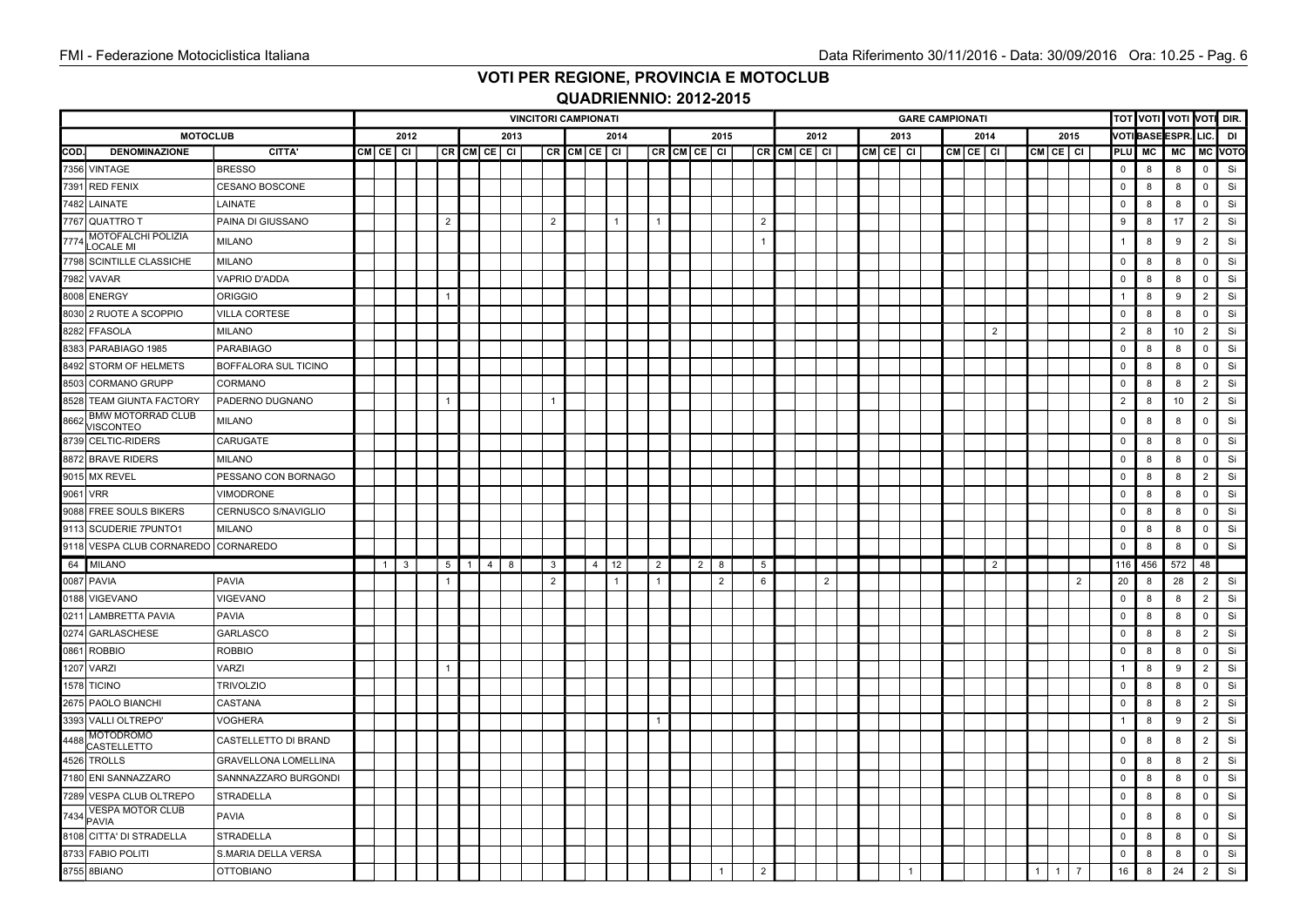|      |                                              |                             |                |                |                |                |   |      | <b>VINCITORI CAMPIONATI</b> |  |              |                |                |                |                 |                     |      |                |  |          | <b>GARE CAMPIONATI</b> |          |              |               |                |                | <b>TOT VOTI VOTI VOTI DIR.</b> |     |                |         |  |
|------|----------------------------------------------|-----------------------------|----------------|----------------|----------------|----------------|---|------|-----------------------------|--|--------------|----------------|----------------|----------------|-----------------|---------------------|------|----------------|--|----------|------------------------|----------|--------------|---------------|----------------|----------------|--------------------------------|-----|----------------|---------|--|
|      | <b>MOTOCLUB</b>                              |                             |                | 2012           |                |                |   | 2013 |                             |  | 2014         |                |                | 2015           |                 |                     | 2012 |                |  | 2013     |                        | 2014     |              |               | 2015           |                | <b>VOTIBASE ESPR.</b>          |     | LIC.           | DI      |  |
| COD. | <b>DENOMINAZIONE</b>                         | CITTA'                      | CM CE CI       |                |                | CRCMCECI       |   |      | $CR$ $CM$ $CE$ $CI$         |  |              | CR CM CE CI    |                |                |                 | $CR$ $CM$ $CE$ $CI$ |      |                |  | CM CE CI |                        | CM CE CI |              | $CM$ CE $ C $ |                |                | PLU MC                         | MC  |                | MC VOTO |  |
|      | 7356 VINTAGE                                 | <b>BRESSO</b>               |                |                |                |                |   |      |                             |  |              |                |                |                |                 |                     |      |                |  |          |                        |          |              |               |                | $\mathbf 0$    | 8                              | 8   | $\mathbf 0$    | Si      |  |
| 7391 | <b>RED FENIX</b>                             | CESANO BOSCONE              |                |                |                |                |   |      |                             |  |              |                |                |                |                 |                     |      |                |  |          |                        |          |              |               |                | $\mathsf{O}$   | 8                              | 8   | $\mathbf 0$    | Si      |  |
|      | 7482 LAINATE                                 | LAINATE                     |                |                |                |                |   |      |                             |  |              |                |                |                |                 |                     |      |                |  |          |                        |          |              |               |                | $\mathbf 0$    | 8                              | 8   | $\Omega$       | Si      |  |
|      | 7767 QUATTRO T                               | PAINA DI GIUSSANO           |                |                | $\overline{2}$ |                |   |      | $\overline{2}$              |  | $\mathbf{1}$ | $\overline{1}$ |                |                | $\overline{2}$  |                     |      |                |  |          |                        |          |              |               |                | 9              | 8                              | 17  | $\overline{2}$ | Si      |  |
| 7774 | MOTOFALCHI POLIZIA<br>OCALE MI               | <b>MILANO</b>               |                |                |                |                |   |      |                             |  |              |                |                |                | $\overline{1}$  |                     |      |                |  |          |                        |          |              |               |                | $\overline{1}$ | 8                              | 9   | 2              | Si      |  |
|      | 7798 SCINTILLE CLASSICHE                     | <b>MILANO</b>               |                |                |                |                |   |      |                             |  |              |                |                |                |                 |                     |      |                |  |          |                        |          |              |               |                | $\mathbf 0$    | 8                              | 8   | $\mathbf 0$    | Si      |  |
|      | 7982 VAVAR                                   | <b>VAPRIO D'ADDA</b>        |                |                |                |                |   |      |                             |  |              |                |                |                |                 |                     |      |                |  |          |                        |          |              |               |                | $\mathbf 0$    | 8                              | 8   | $^{\circ}$     | Si      |  |
|      | 8008 ENERGY                                  | <b>ORIGGIO</b>              |                |                | 1              |                |   |      |                             |  |              |                |                |                |                 |                     |      |                |  |          |                        |          |              |               |                |                | 8                              | 9   | $\overline{2}$ | Si      |  |
|      | 8030 2 RUOTE A SCOPPIO                       | VILLA CORTESE               |                |                |                |                |   |      |                             |  |              |                |                |                |                 |                     |      |                |  |          |                        |          |              |               |                | $\mathbf 0$    | 8                              | 8   | $\mathbf 0$    | Si      |  |
|      | 8282 FFASOLA                                 | <b>MILANO</b>               |                |                |                |                |   |      |                             |  |              |                |                |                |                 |                     |      |                |  |          |                        | 2        |              |               |                | $\overline{2}$ | 8                              | 10  | $\overline{2}$ | Si      |  |
| 8383 | PARABIAGO 1985                               | <b>PARABIAGO</b>            |                |                |                |                |   |      |                             |  |              |                |                |                |                 |                     |      |                |  |          |                        |          |              |               |                | $\mathsf{O}$   | 8                              | 8   | $\Omega$       | Si      |  |
|      | 8492 STORM OF HELMETS                        | BOFFALORA SUL TICINO        |                |                |                |                |   |      |                             |  |              |                |                |                |                 |                     |      |                |  |          |                        |          |              |               |                | 0              | 8                              | 8   | $^{\circ}$     | Si      |  |
|      | 8503 CORMANO GRUPP                           | CORMANO                     |                |                |                |                |   |      |                             |  |              |                |                |                |                 |                     |      |                |  |          |                        |          |              |               |                | $\mathbf 0$    | 8                              | 8   | 2              | Si      |  |
|      | 8528 TEAM GIUNTA FACTORY                     | PADERNO DUGNANO             |                |                |                |                |   |      | $\mathbf{1}$                |  |              |                |                |                |                 |                     |      |                |  |          |                        |          |              |               |                | $\overline{2}$ | 8                              | 10  | $\overline{2}$ | Si      |  |
| 8662 | <b>BMW MOTORRAD CLUB</b><br><b>/ISCONTEO</b> | <b>MILANO</b>               |                |                |                |                |   |      |                             |  |              |                |                |                |                 |                     |      |                |  |          |                        |          |              |               |                | 0              | 8                              | 8   | $\Omega$       | Si      |  |
| 8739 | <b>CELTIC-RIDERS</b>                         | CARUGATE                    |                |                |                |                |   |      |                             |  |              |                |                |                |                 |                     |      |                |  |          |                        |          |              |               |                | 0              | 8                              | 8   | $\Omega$       | Si      |  |
|      | 8872 BRAVE RIDERS                            | <b>MILANO</b>               |                |                |                |                |   |      |                             |  |              |                |                |                |                 |                     |      |                |  |          |                        |          |              |               |                | $\mathbf 0$    | 8                              | 8   | $\mathbf{0}$   | Si      |  |
|      | 9015 MX REVEL                                | PESSANO CON BORNAGO         |                |                |                |                |   |      |                             |  |              |                |                |                |                 |                     |      |                |  |          |                        |          |              |               |                | 0              | 8                              | 8   | $\overline{2}$ | Si      |  |
| 9061 | <b>VRR</b>                                   | <b>VIMODRONE</b>            |                |                |                |                |   |      |                             |  |              |                |                |                |                 |                     |      |                |  |          |                        |          |              |               |                | 0              | 8                              | 8   | $\mathbf 0$    | Si      |  |
|      | 9088 FREE SOULS BIKERS                       | CERNUSCO S/NAVIGLIO         |                |                |                |                |   |      |                             |  |              |                |                |                |                 |                     |      |                |  |          |                        |          |              |               |                | $\mathbf 0$    | 8                              | 8   | $\mathbf{0}$   | Si      |  |
|      | 9113 SCUDERIE 7PUNTO1                        | <b>MILANO</b>               |                |                |                |                |   |      |                             |  |              |                |                |                |                 |                     |      |                |  |          |                        |          |              |               |                | 0              | 8                              | 8   | $\mathbf 0$    | Si      |  |
|      | 9118 VESPA CLUB CORNAREDO CORNAREDO          |                             |                |                |                |                |   |      |                             |  |              |                |                |                |                 |                     |      |                |  |          |                        |          |              |               |                | $\mathsf{O}$   | 8                              | 8   | $\mathbf{0}$   | Si      |  |
| 64   | <b>MILANO</b>                                |                             | $\overline{1}$ | $\overline{3}$ | 5 <sup>5</sup> | $\overline{1}$ | 4 | 8    | 3                           |  | $4$ 12       | $\overline{2}$ | $\overline{2}$ | 8              | $5\overline{5}$ |                     |      |                |  |          |                        | 2        |              |               |                | 116            | 456                            | 572 | 48             |         |  |
|      | 0087 PAVIA                                   | <b>PAVIA</b>                |                |                | $\mathbf{1}$   |                |   |      | $\overline{2}$              |  | $\mathbf{1}$ | $\overline{1}$ |                | $\overline{2}$ | 6               |                     |      | $\overline{2}$ |  |          |                        |          |              |               | $\overline{2}$ | 20             | 8                              | 28  | $\overline{2}$ | Si      |  |
|      | 0188 VIGEVANO                                | <b>VIGEVANO</b>             |                |                |                |                |   |      |                             |  |              |                |                |                |                 |                     |      |                |  |          |                        |          |              |               |                | $\mathbf{0}$   | 8                              | 8   | 2              | Si      |  |
| 0211 | <b>LAMBRETTA PAVIA</b>                       | <b>PAVIA</b>                |                |                |                |                |   |      |                             |  |              |                |                |                |                 |                     |      |                |  |          |                        |          |              |               |                | $\mathbf 0$    | 8                              | 8   | 0              | Si      |  |
|      | 0274 GARLASCHESE                             | <b>GARLASCO</b>             |                |                |                |                |   |      |                             |  |              |                |                |                |                 |                     |      |                |  |          |                        |          |              |               |                | $\mathbf 0$    | 8                              | 8   | $\overline{2}$ | Si      |  |
| 0861 | <b>ROBBIO</b>                                | <b>ROBBIO</b>               |                |                |                |                |   |      |                             |  |              |                |                |                |                 |                     |      |                |  |          |                        |          |              |               |                | 0              | 8                              | 8   | $\mathbf 0$    | Si      |  |
| 1207 | <b>VARZI</b>                                 | <b>VARZI</b>                |                |                |                |                |   |      |                             |  |              |                |                |                |                 |                     |      |                |  |          |                        |          |              |               |                |                | 8                              | 9   | $\overline{2}$ | Si      |  |
|      | 1578 TICINO                                  | <b>TRIVOLZIO</b>            |                |                |                |                |   |      |                             |  |              |                |                |                |                 |                     |      |                |  |          |                        |          |              |               |                | $\mathsf 0$    | 8                              | 8   | $\mathbf{0}$   | Si      |  |
|      | 2675 PAOLO BIANCHI                           | CASTANA                     |                |                |                |                |   |      |                             |  |              |                |                |                |                 |                     |      |                |  |          |                        |          |              |               |                | $\mathbf 0$    | 8                              | 8   | $\overline{2}$ | Si      |  |
|      | 3393 VALLI OLTREPO'                          | <b>VOGHERA</b>              |                |                |                |                |   |      |                             |  |              | $\overline{1}$ |                |                |                 |                     |      |                |  |          |                        |          |              |               |                | $\overline{1}$ | 8                              | 9   | $\overline{2}$ | Si      |  |
| 4488 | <b>MOTODROMO</b><br>CASTELLETTO              | CASTELLETTO DI BRAND        |                |                |                |                |   |      |                             |  |              |                |                |                |                 |                     |      |                |  |          |                        |          |              |               |                | $\mathbf 0$    | 8                              | 8   | $\overline{2}$ | Si      |  |
| 4526 | <b>TROLLS</b>                                | <b>GRAVELLONA LOMELLINA</b> |                |                |                |                |   |      |                             |  |              |                |                |                |                 |                     |      |                |  |          |                        |          |              |               |                | $\mathbf 0$    | 8                              | 8   | $\overline{2}$ | Si      |  |
|      | 7180 ENI SANNAZZARO                          | SANNNAZZARO BURGONDI        |                |                |                |                |   |      |                             |  |              |                |                |                |                 |                     |      |                |  |          |                        |          |              |               |                | $\mathbf 0$    | 8                              | 8   | $\mathbf{0}$   | Si      |  |
|      | 7289 VESPA CLUB OLTREPO                      | <b>STRADELLA</b>            |                |                |                |                |   |      |                             |  |              |                |                |                |                 |                     |      |                |  |          |                        |          |              |               |                | 0              | 8                              | 8   | 0              | Si      |  |
| 7434 | <b>VESPA MOTOR CLUB</b><br><b>PAVIA</b>      | <b>PAVIA</b>                |                |                |                |                |   |      |                             |  |              |                |                |                |                 |                     |      |                |  |          |                        |          |              |               |                | $\mathsf 0$    | 8                              | 8   | $\mathbf{0}$   | Si      |  |
|      | 8108 CITTA' DI STRADELLA                     | <b>STRADELLA</b>            |                |                |                |                |   |      |                             |  |              |                |                |                |                 |                     |      |                |  |          |                        |          |              |               |                | 0              | 8                              | 8   | $\mathbf 0$    | Si      |  |
|      | 8733 FABIO POLITI                            | S.MARIA DELLA VERSA         |                |                |                |                |   |      |                             |  |              |                |                |                |                 |                     |      |                |  |          |                        |          |              |               |                | 0              | 8                              | 8   | $\mathbf{0}$   | Si      |  |
|      | 8755 8BIANO                                  | <b>OTTOBIANO</b>            |                |                |                |                |   |      |                             |  |              |                |                |                | $\overline{2}$  |                     |      |                |  |          |                        |          | $\mathbf{1}$ | 1             | $\overline{7}$ | 16             | 8                              | 24  | $\overline{2}$ | Si      |  |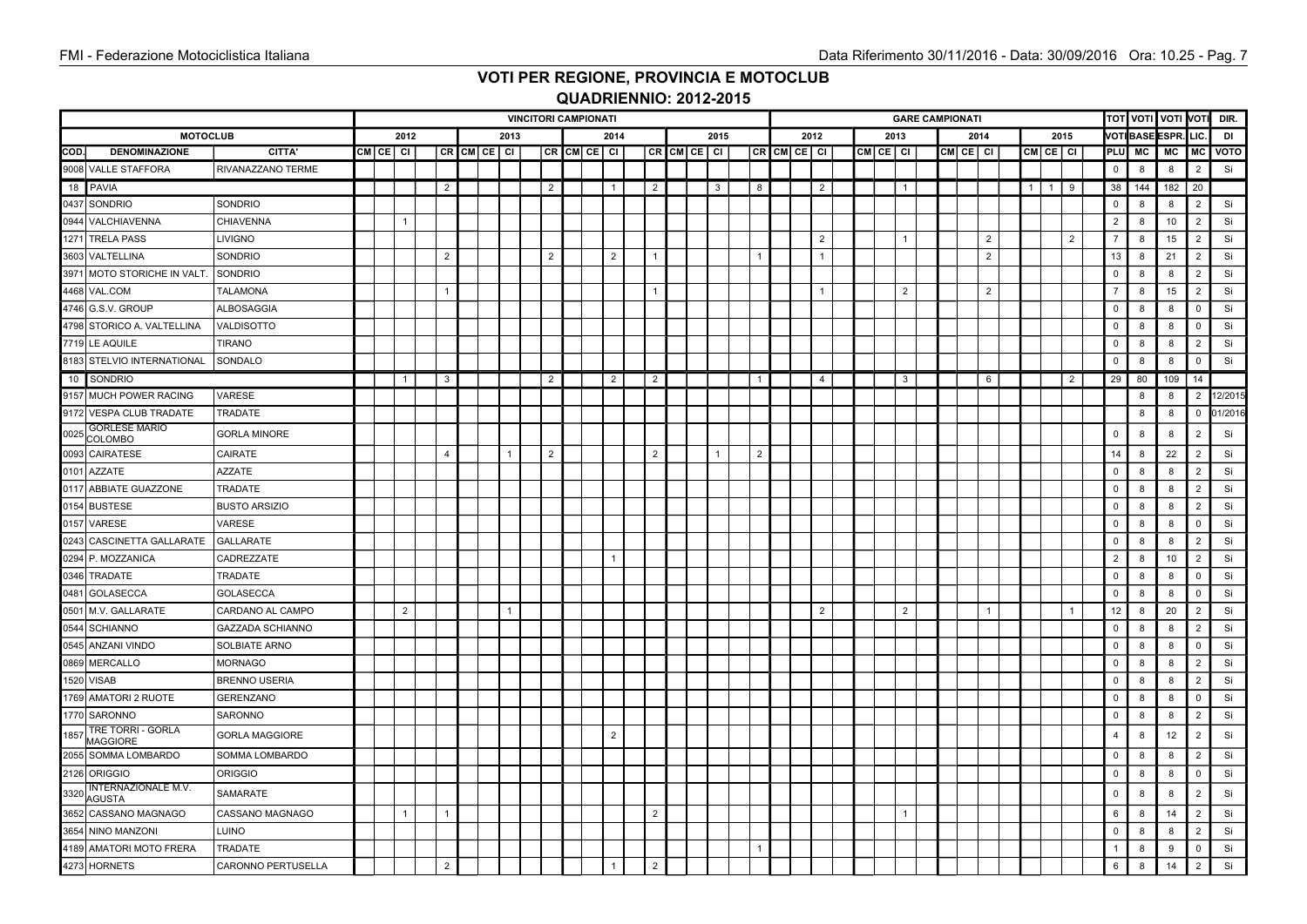|      |                                      |                       |          |                |                |          |              | <b>VINCITORI CAMPIONATI</b> |                |  |                |                |                     |                |                |                     |                |  |          |                | <b>GARE CAMPIONATI</b> |      |                |           |                |                |                | <b>TOT VOTI VOTI VOTI</b> |    |                 |                | DIR.        |
|------|--------------------------------------|-----------------------|----------|----------------|----------------|----------|--------------|-----------------------------|----------------|--|----------------|----------------|---------------------|----------------|----------------|---------------------|----------------|--|----------|----------------|------------------------|------|----------------|-----------|----------------|----------------|----------------|---------------------------|----|-----------------|----------------|-------------|
|      | <b>MOTOCLUB</b>                      |                       |          | 2012           |                |          | 2013         |                             |                |  | 2014           |                |                     | 2015           |                |                     | 2012           |  | 2013     |                |                        | 2014 |                |           |                | 2015           |                | <b>VOTI BASE ESPR.</b>    |    |                 | LIC.           | DI          |
| COD. | <b>DENOMINAZIONE</b>                 | CITTA'                | CM CE CI |                |                | CR CM CE | <b>CI</b>    |                             |                |  | CRCMCEC        |                | $CR$ $CM$ $CE$ $CI$ |                |                | $CR$ $CM$ $CE$ $CI$ |                |  | CM CE CI |                | CM CE CI               |      |                |           | CM CE CI       |                |                | PLU MC                    |    | MC MC           |                | <b>VOTO</b> |
|      | 9008 VALLE STAFFORA                  | RIVANAZZANO TERME     |          |                |                |          |              |                             |                |  |                |                |                     |                |                |                     |                |  |          |                |                        |      |                |           |                |                | $\mathsf 0$    | 8                         | 8  |                 | $\overline{2}$ | Si          |
|      | 18 PAVIA                             |                       |          |                | $\overline{2}$ |          |              |                             | $\overline{2}$ |  | $\mathbf{1}$   | 2              |                     | $\mathbf{3}$   | 8              |                     | $\overline{2}$ |  |          | $\mathbf{1}$   |                        |      |                | $1 \vert$ | $\overline{1}$ | 9              | 38             | 144                       |    | 182             | 20             |             |
|      | 0437 SONDRIO                         | SONDRIO               |          |                |                |          |              |                             |                |  |                |                |                     |                |                |                     |                |  |          |                |                        |      |                |           |                |                | $\mathsf 0$    | 8                         | 8  |                 | $\overline{2}$ | Si          |
|      | 0944 VALCHIAVENNA                    | <b>CHIAVENNA</b>      |          | 1              |                |          |              |                             |                |  |                |                |                     |                |                |                     |                |  |          |                |                        |      |                |           |                |                | $\overline{2}$ | 8                         |    | 10 <sup>1</sup> | $\overline{2}$ | Si          |
|      | 1271 TRELA PASS                      | <b>LIVIGNO</b>        |          |                |                |          |              |                             |                |  |                |                |                     |                |                |                     | $\overline{2}$ |  |          | $\mathbf{1}$   |                        |      | $\overline{2}$ |           |                | $\overline{2}$ | $\overline{7}$ | 8                         |    | 15              | $\overline{2}$ | Si          |
|      | 3603 VALTELLINA                      | SONDRIO               |          |                | $\overline{2}$ |          |              |                             | $\overline{2}$ |  | $\overline{2}$ |                |                     |                |                |                     | $\mathbf{1}$   |  |          |                |                        |      | $\overline{2}$ |           |                |                | 13             | 8                         | 21 |                 | $\overline{2}$ | Si          |
|      | 3971 MOTO STORICHE IN VALT.          | SONDRIO               |          |                |                |          |              |                             |                |  |                |                |                     |                |                |                     |                |  |          |                |                        |      |                |           |                |                | $\mathsf 0$    | 8                         | 8  |                 | $\overline{2}$ | Si          |
|      | 4468 VAL.COM                         | <b>TALAMONA</b>       |          |                | $\overline{1}$ |          |              |                             |                |  |                | $\overline{1}$ |                     |                |                |                     | $\mathbf{1}$   |  |          | 2              |                        |      | $\overline{2}$ |           |                |                | $\overline{7}$ | 8                         |    | 15              | $\overline{2}$ | Si          |
|      | 4746 G.S.V. GROUP                    | ALBOSAGGIA            |          |                |                |          |              |                             |                |  |                |                |                     |                |                |                     |                |  |          |                |                        |      |                |           |                |                | $\mathbf 0$    | $\boldsymbol{8}$          | 8  |                 | $\Omega$       | Si          |
|      | 4798 STORICO A. VALTELLINA           | VALDISOTTO            |          |                |                |          |              |                             |                |  |                |                |                     |                |                |                     |                |  |          |                |                        |      |                |           |                |                | $\mathbf 0$    | 8                         | 8  |                 | $\Omega$       | Si          |
|      | 7719 LE AQUILE                       | <b>TIRANO</b>         |          |                |                |          |              |                             |                |  |                |                |                     |                |                |                     |                |  |          |                |                        |      |                |           |                |                | $\mathbf 0$    | 8                         | 8  |                 | $\overline{2}$ | Si          |
|      | 8183 STELVIO INTERNATIONAL           | SONDALO               |          |                |                |          |              |                             |                |  |                |                |                     |                |                |                     |                |  |          |                |                        |      |                |           |                |                | $\mathsf 0$    | 8                         | 8  |                 | $\mathsf 0$    | Si          |
| 10   | <b>SONDRIO</b>                       |                       |          | $\overline{1}$ | $\mathbf{3}$   |          |              |                             | $\overline{2}$ |  | 2              | $\overline{2}$ |                     |                |                |                     | $\overline{4}$ |  |          | 3              |                        |      | 6              |           |                | $\overline{2}$ | 29             | 80                        |    | 109             | 14             |             |
|      | 9157 MUCH POWER RACING               | VARESE                |          |                |                |          |              |                             |                |  |                |                |                     |                |                |                     |                |  |          |                |                        |      |                |           |                |                |                | 8                         | 8  |                 |                | 2 12/2015   |
|      | 9172 VESPA CLUB TRADATE              | TRADATE               |          |                |                |          |              |                             |                |  |                |                |                     |                |                |                     |                |  |          |                |                        |      |                |           |                |                |                | 8                         | 8  |                 | $\Omega$       | 01/2016     |
|      | 0025 GUNLL<br><b>GORLESE MARIO</b>   | <b>GORLA MINORE</b>   |          |                |                |          |              |                             |                |  |                |                |                     |                |                |                     |                |  |          |                |                        |      |                |           |                |                | $\mathbf{0}$   | 8                         | 8  |                 | $\overline{2}$ | Si          |
|      | 0093 CAIRATESE                       | CAIRATE               |          |                | $\overline{4}$ |          | $\mathbf{1}$ |                             | $\overline{2}$ |  |                | $\overline{2}$ |                     | $\overline{1}$ | $\overline{2}$ |                     |                |  |          |                |                        |      |                |           |                |                | 14             | 8                         | 22 |                 | $\overline{2}$ | Si          |
|      | 0101 AZZATE                          | <b>AZZATE</b>         |          |                |                |          |              |                             |                |  |                |                |                     |                |                |                     |                |  |          |                |                        |      |                |           |                |                | $\mathsf 0$    | 8                         | 8  |                 | $\overline{2}$ | Si          |
|      | 0117 ABBIATE GUAZZONE                | <b>TRADATE</b>        |          |                |                |          |              |                             |                |  |                |                |                     |                |                |                     |                |  |          |                |                        |      |                |           |                |                | $\mathsf 0$    | 8                         | 8  |                 | 2              | Si          |
|      | 0154 BUSTESE                         | <b>BUSTO ARSIZIO</b>  |          |                |                |          |              |                             |                |  |                |                |                     |                |                |                     |                |  |          |                |                        |      |                |           |                |                | $\mathsf 0$    | 8                         | 8  |                 | $\overline{2}$ | Si          |
|      | 0157 VARESE                          | VARESE                |          |                |                |          |              |                             |                |  |                |                |                     |                |                |                     |                |  |          |                |                        |      |                |           |                |                | $\mathsf 0$    | 8                         | 8  |                 | $\Omega$       | Si          |
|      | 0243 CASCINETTA GALLARATE            | <b>GALLARATE</b>      |          |                |                |          |              |                             |                |  |                |                |                     |                |                |                     |                |  |          |                |                        |      |                |           |                |                | $\mathbf 0$    | 8                         | 8  |                 | $\overline{2}$ | Si          |
|      | 0294 P. MOZZANICA                    | CADREZZATE            |          |                |                |          |              |                             |                |  |                |                |                     |                |                |                     |                |  |          |                |                        |      |                |           |                |                | $\overline{2}$ | 8                         |    | 10 <sup>1</sup> | $\overline{2}$ | Si          |
|      | 0346 TRADATE                         | <b>TRADATE</b>        |          |                |                |          |              |                             |                |  |                |                |                     |                |                |                     |                |  |          |                |                        |      |                |           |                |                | $\mathsf 0$    | 8                         | 8  |                 | $\mathbf 0$    | Si          |
|      | 0481 GOLASECCA                       | <b>GOLASECCA</b>      |          |                |                |          |              |                             |                |  |                |                |                     |                |                |                     |                |  |          |                |                        |      |                |           |                |                | $\mathbf{0}$   | 8                         | 8  |                 | $\Omega$       | Si          |
|      | 0501 M.V. GALLARATE                  | CARDANO AL CAMPO      |          | $\overline{2}$ |                |          |              |                             |                |  |                |                |                     |                |                |                     | $\overline{2}$ |  |          | $\overline{2}$ |                        |      | $\overline{1}$ |           |                |                | 12             | 8                         | 20 |                 | $\overline{2}$ | Si          |
|      | 0544 SCHIANNO                        | GAZZADA SCHIANNO      |          |                |                |          |              |                             |                |  |                |                |                     |                |                |                     |                |  |          |                |                        |      |                |           |                |                | $\mathbf 0$    | 8                         | 8  |                 | $\mathcal{P}$  | Si          |
|      | 0545 ANZANI VINDO                    | <b>SOLBIATE ARNO</b>  |          |                |                |          |              |                             |                |  |                |                |                     |                |                |                     |                |  |          |                |                        |      |                |           |                |                | $\mathsf 0$    | 8                         | 8  |                 | $\Omega$       | Si          |
|      | 0869 MERCALLO                        | <b>MORNAGO</b>        |          |                |                |          |              |                             |                |  |                |                |                     |                |                |                     |                |  |          |                |                        |      |                |           |                |                | $\mathsf 0$    | 8                         | 8  |                 | $\overline{2}$ | Si          |
|      | 1520 VISAB                           | <b>BRENNO USERIA</b>  |          |                |                |          |              |                             |                |  |                |                |                     |                |                |                     |                |  |          |                |                        |      |                |           |                |                | $\mathbf{0}$   | 8                         | 8  |                 | $\overline{2}$ | Si          |
|      | 1769 AMATORI 2 RUOTE                 | <b>GERENZANO</b>      |          |                |                |          |              |                             |                |  |                |                |                     |                |                |                     |                |  |          |                |                        |      |                |           |                |                | $\mathbf 0$    | 8                         | 8  |                 | $\mathbf 0$    | Si          |
| 1770 | SARONNO                              | SARONNO               |          |                |                |          |              |                             |                |  |                |                |                     |                |                |                     |                |  |          |                |                        |      |                |           |                |                | $\mathsf 0$    | 8                         | 8  |                 | 2              | Si          |
| 1857 | TRE TORRI - GORLA<br><b>MAGGIORE</b> | <b>GORLA MAGGIORE</b> |          |                |                |          |              |                             |                |  | $\overline{2}$ |                |                     |                |                |                     |                |  |          |                |                        |      |                |           |                |                | $\overline{4}$ | 8                         | 12 |                 | $\overline{2}$ | Si          |
|      | 2055 SOMMA LOMBARDO                  | SOMMA LOMBARDO        |          |                |                |          |              |                             |                |  |                |                |                     |                |                |                     |                |  |          |                |                        |      |                |           |                |                | $\mathsf 0$    | 8                         | 8  |                 | 2              | Si          |
|      | 2126 ORIGGIO                         | <b>ORIGGIO</b>        |          |                |                |          |              |                             |                |  |                |                |                     |                |                |                     |                |  |          |                |                        |      |                |           |                |                | $\mathsf 0$    | 8                         | 8  |                 | $\mathbf{0}$   | Si          |
| 3320 | INTERNAZIONALE M.V.<br>AGUSTA        | SAMARATE              |          |                |                |          |              |                             |                |  |                |                |                     |                |                |                     |                |  |          |                |                        |      |                |           |                |                | $\mathbf 0$    | 8                         | 8  |                 | 2              | Si          |
|      | 3652 CASSANO MAGNAGO                 | CASSANO MAGNAGO       |          |                | $\mathbf{1}$   |          |              |                             |                |  |                | $\overline{2}$ |                     |                |                |                     |                |  |          | $\overline{1}$ |                        |      |                |           |                |                | 6              | 8                         |    | 14              | $\overline{2}$ | Si          |
|      | 3654 NINO MANZONI                    | <b>LUINO</b>          |          |                |                |          |              |                             |                |  |                |                |                     |                |                |                     |                |  |          |                |                        |      |                |           |                |                | $\mathsf 0$    | 8                         | 8  |                 | $\mathfrak{p}$ | Si          |
|      | 4189 AMATORI MOTO FRERA              | <b>TRADATE</b>        |          |                |                |          |              |                             |                |  |                |                |                     |                |                |                     |                |  |          |                |                        |      |                |           |                |                | $\overline{1}$ | 8                         | 9  |                 | $\Omega$       | Si          |
|      | 4273 HORNETS                         | CARONNO PERTUSELLA    |          |                | $\overline{2}$ |          |              |                             |                |  |                | $\overline{2}$ |                     |                |                |                     |                |  |          |                |                        |      |                |           |                |                | 6              | 8                         | 14 |                 | $\overline{2}$ | Si          |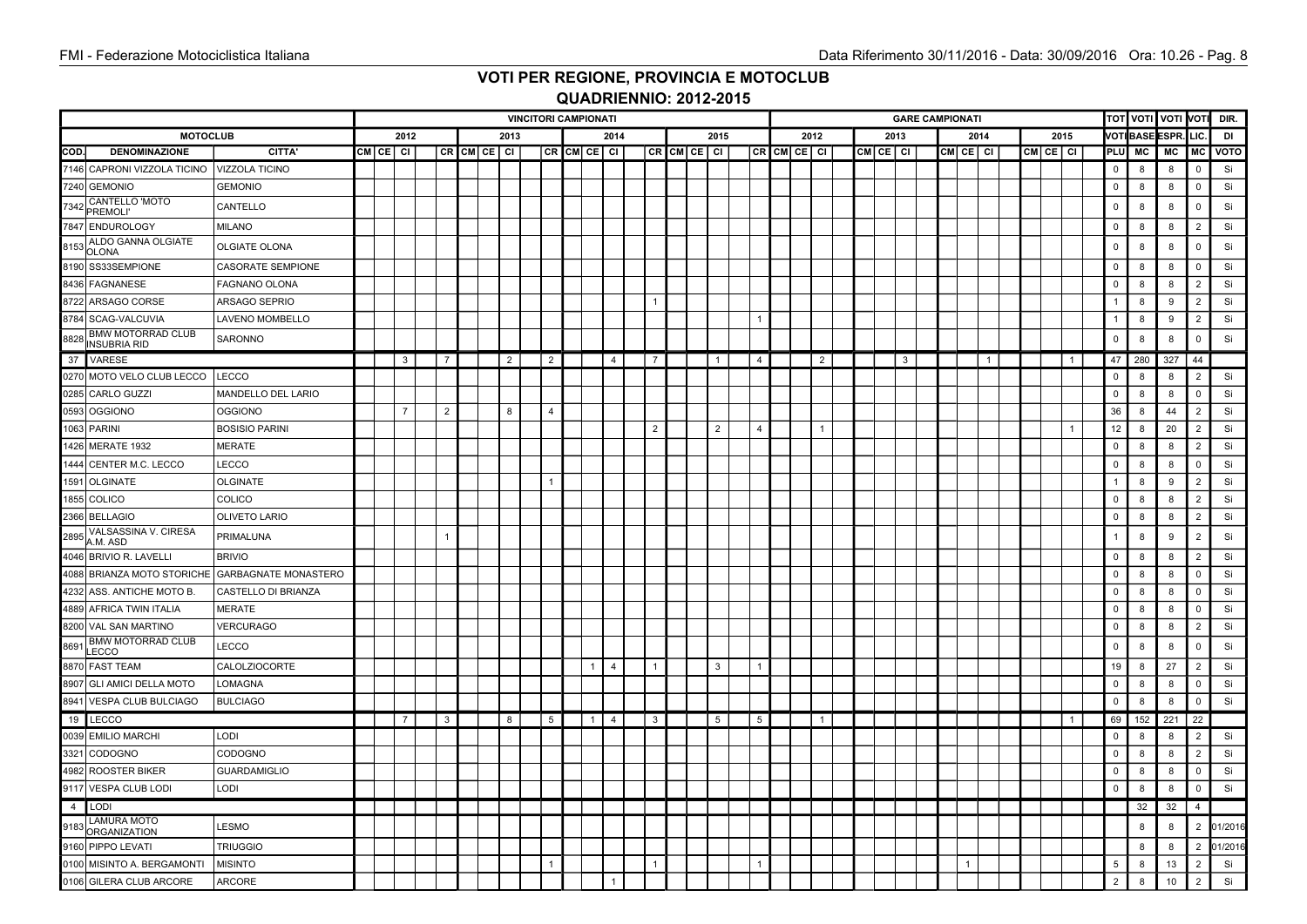|      |                                                 |                             |              |                |                |          |           |                | <b>VINCITORI CAMPIONATI</b> |                |                |                     |                |                         |  |                |               |              | <b>GARE CAMPIONATI</b> |                           |      |  |               |      |                          | <b>TOT VOTI VOTI VOTI</b> |       |                | DIR.      |  |
|------|-------------------------------------------------|-----------------------------|--------------|----------------|----------------|----------|-----------|----------------|-----------------------------|----------------|----------------|---------------------|----------------|-------------------------|--|----------------|---------------|--------------|------------------------|---------------------------|------|--|---------------|------|--------------------------|---------------------------|-------|----------------|-----------|--|
|      | <b>MOTOCLUB</b>                                 |                             |              | 2012           |                |          | 2013      |                |                             | 2014           |                |                     | 2015           |                         |  | 2012           |               | 2013         |                        |                           | 2014 |  |               | 2015 |                          | <b>VOTI BASE</b>          | ESPR. | LIC.           | DI        |  |
| COD. | <b>DENOMINAZIONE</b>                            | CITTA'                      | $CM$ CE $Cl$ |                |                | CR CM CE | <b>CI</b> |                | CR CM CE CI                 |                |                | $CR$ $CM$ $CE$ $CI$ |                | CR CM CE CI             |  |                | $CM$ CE $ C $ |              |                        | $cm$ CE $\overline{c}$ CI |      |  | $CM$ CE $ C $ |      | PLU                      | MC                        | MC    | MC             | VOTO      |  |
|      | 7146 CAPRONI VIZZOLA TICINO                     | VIZZOLA TICINO              |              |                |                |          |           |                |                             |                |                |                     |                |                         |  |                |               |              |                        |                           |      |  |               |      | $\mathsf 0$              | 8                         | 8     | $\mathbf 0$    | Si        |  |
|      | 7240 GEMONIO                                    | <b>GEMONIO</b>              |              |                |                |          |           |                |                             |                |                |                     |                |                         |  |                |               |              |                        |                           |      |  |               |      | $\mathsf 0$              | 8                         | 8     | 0              | Si        |  |
| 7342 | CANTELLO 'MOTO<br><b>PREMOLI'</b>               | CANTELLO                    |              |                |                |          |           |                |                             |                |                |                     |                |                         |  |                |               |              |                        |                           |      |  |               |      | $\mathbf 0$              | 8                         | 8     | $\mathbf 0$    | Si        |  |
|      | 7847 ENDUROLOGY                                 | <b>MILANO</b>               |              |                |                |          |           |                |                             |                |                |                     |                |                         |  |                |               |              |                        |                           |      |  |               |      | $\mathbf 0$              | 8                         | 8     | $\overline{2}$ | Si        |  |
| 8153 | ALDO GANNA OLGIATE<br><b>OLONA</b>              | OLGIATE OLONA               |              |                |                |          |           |                |                             |                |                |                     |                |                         |  |                |               |              |                        |                           |      |  |               |      | $\mathbf 0$              | 8                         | 8     | $\Omega$       | Si        |  |
|      | 8190 SS33SEMPIONE                               | <b>CASORATE SEMPIONE</b>    |              |                |                |          |           |                |                             |                |                |                     |                |                         |  |                |               |              |                        |                           |      |  |               |      | $\mathsf 0$              | 8                         | 8     | $\mathbf 0$    | Si        |  |
|      | 8436 FAGNANESE                                  | <b>FAGNANO OLONA</b>        |              |                |                |          |           |                |                             |                |                |                     |                |                         |  |                |               |              |                        |                           |      |  |               |      | $\mathsf 0$              | 8                         | 8     | 2              | Si        |  |
|      | 8722 ARSAGO CORSE                               | ARSAGO SEPRIO               |              |                |                |          |           |                |                             |                |                |                     |                |                         |  |                |               |              |                        |                           |      |  |               |      | -1                       | 8                         | 9     | $\overline{2}$ | Si        |  |
|      | 8784 SCAG-VALCUVIA                              | LAVENO MOMBELLO             |              |                |                |          |           |                |                             |                |                |                     |                | $\mathbf{1}$            |  |                |               |              |                        |                           |      |  |               |      | $\overline{1}$           | 8                         | 9     | 2              | Si        |  |
| 8828 | <b>BMW MOTORRAD CLUB</b><br><b>INSUBRIA RID</b> | SARONNO                     |              |                |                |          |           |                |                             |                |                |                     |                |                         |  |                |               |              |                        |                           |      |  |               |      | $\mathsf 0$              | 8                         | 8     | 0              | Si        |  |
|      | 37 VARESE                                       |                             |              | 3              | $\overline{7}$ |          | 2         | $\overline{2}$ |                             | $\overline{4}$ | $\overline{7}$ |                     | $\overline{1}$ | $\overline{4}$          |  | $\overline{2}$ |               | $\mathbf{3}$ |                        |                           | -1   |  |               |      | 47                       | 280                       | 327   | 44             |           |  |
|      | 0270 MOTO VELO CLUB LECCO                       | LECCO                       |              |                |                |          |           |                |                             |                |                |                     |                |                         |  |                |               |              |                        |                           |      |  |               |      | $\mathbf 0$              | 8                         | 8     | 2              | Si        |  |
| 0285 | <b>CARLO GUZZI</b>                              | MANDELLO DEL LARIO          |              |                |                |          |           |                |                             |                |                |                     |                |                         |  |                |               |              |                        |                           |      |  |               |      | $\mathsf 0$              | 8                         | 8     | $\Omega$       | Si        |  |
|      | 0593 OGGIONO                                    | <b>OGGIONO</b>              |              | $\overline{7}$ | $\overline{2}$ |          | 8         | $\overline{4}$ |                             |                |                |                     |                |                         |  |                |               |              |                        |                           |      |  |               |      | 36                       | 8                         | 44    | 2              | Si        |  |
|      | 1063 PARINI                                     | <b>BOSISIO PARINI</b>       |              |                |                |          |           |                |                             |                | 2              |                     | 2              | $\overline{\mathbf{A}}$ |  | $\overline{1}$ |               |              |                        |                           |      |  |               |      | 12                       | 8                         | 20    | $\overline{2}$ | Si        |  |
|      | 1426 MERATE 1932                                | <b>MERATE</b>               |              |                |                |          |           |                |                             |                |                |                     |                |                         |  |                |               |              |                        |                           |      |  |               |      | $\mathsf 0$              | 8                         | 8     | 2              | Si        |  |
|      | 1444 CENTER M.C. LECCO                          | LECCO                       |              |                |                |          |           |                |                             |                |                |                     |                |                         |  |                |               |              |                        |                           |      |  |               |      | $\mathbf 0$              | 8                         | 8     | 0              | Si        |  |
|      | 1591 OLGINATE                                   | OLGINATE                    |              |                |                |          |           |                |                             |                |                |                     |                |                         |  |                |               |              |                        |                           |      |  |               |      | $\overline{1}$           | 8                         | 9     | $\overline{2}$ | Si        |  |
|      | 1855 COLICO                                     | COLICO                      |              |                |                |          |           |                |                             |                |                |                     |                |                         |  |                |               |              |                        |                           |      |  |               |      | $\mathbf 0$              | 8                         | 8     | 2              | Si        |  |
|      | 2366 BELLAGIO                                   | OLIVETO LARIO               |              |                |                |          |           |                |                             |                |                |                     |                |                         |  |                |               |              |                        |                           |      |  |               |      | $\mathsf 0$              | 8                         | 8     | $\overline{2}$ | Si        |  |
| 2895 | VALSASSINA V. CIRESA<br>A.M. ASD                | PRIMALUNA                   |              |                |                |          |           |                |                             |                |                |                     |                |                         |  |                |               |              |                        |                           |      |  |               |      | $\overline{\phantom{a}}$ | 8                         | 9     | 2              | Si        |  |
|      | 4046 BRIVIO R. LAVELLI                          | <b>BRIVIO</b>               |              |                |                |          |           |                |                             |                |                |                     |                |                         |  |                |               |              |                        |                           |      |  |               |      | $\mathsf 0$              | 8                         | 8     | $\overline{2}$ | Si        |  |
|      | 4088 BRIANZA MOTO STORICHE                      | <b>GARBAGNATE MONASTERO</b> |              |                |                |          |           |                |                             |                |                |                     |                |                         |  |                |               |              |                        |                           |      |  |               |      | $\mathbf{0}$             | 8                         | 8     | $\mathbf 0$    | Si        |  |
|      | 4232 ASS. ANTICHE MOTO B.                       | CASTELLO DI BRIANZA         |              |                |                |          |           |                |                             |                |                |                     |                |                         |  |                |               |              |                        |                           |      |  |               |      | $\mathbf 0$              | 8                         | 8     | $\Omega$       | Si        |  |
|      | 4889 AFRICA TWIN ITALIA                         | <b>MERATE</b>               |              |                |                |          |           |                |                             |                |                |                     |                |                         |  |                |               |              |                        |                           |      |  |               |      | $\mathbf 0$              | 8                         | 8     | $\mathbf 0$    | Si        |  |
| 8200 | <b>VAL SAN MARTINO</b>                          | <b>VERCURAGO</b>            |              |                |                |          |           |                |                             |                |                |                     |                |                         |  |                |               |              |                        |                           |      |  |               |      | $\mathbf 0$              | 8                         | 8     | 2              | Si        |  |
| 8691 | <b>BMW MOTORRAD CLUB</b><br>LECCO               | LECCO                       |              |                |                |          |           |                |                             |                |                |                     |                |                         |  |                |               |              |                        |                           |      |  |               |      | $\mathbf 0$              | 8                         | 8     | $\mathbf 0$    | Si        |  |
|      | 8870 FAST TEAM                                  | <b>CALOLZIOCORTE</b>        |              |                |                |          |           |                | $\overline{1}$              | $\overline{4}$ | 1              |                     | $\mathbf{3}$   | $\mathbf{1}$            |  |                |               |              |                        |                           |      |  |               |      | 19                       | 8                         | 27    | $\overline{2}$ | Si        |  |
|      | 8907 GLI AMICI DELLA MOTO                       | LOMAGNA                     |              |                |                |          |           |                |                             |                |                |                     |                |                         |  |                |               |              |                        |                           |      |  |               |      | $\mathbf 0$              | 8                         | 8     | $\mathbf 0$    | Si        |  |
| 8941 | VESPA CLUB BULCIAGO                             | <b>BULCIAGO</b>             |              |                |                |          |           |                |                             |                |                |                     |                |                         |  |                |               |              |                        |                           |      |  |               |      | $\mathbf 0$              | 8                         | 8     | $\Omega$       | Si        |  |
|      | 19 LECCO                                        |                             |              | $\overline{7}$ | $\mathbf{3}$   |          | 8         | 5              | $\overline{1}$              | $\overline{4}$ | $\mathbf{B}$   |                     | 5              | $5\phantom{.0}$         |  | $\overline{1}$ |               |              |                        |                           |      |  |               |      | 69                       | 152                       | 221   | 22             |           |  |
|      | 0039 EMILIO MARCHI                              | LODI                        |              |                |                |          |           |                |                             |                |                |                     |                |                         |  |                |               |              |                        |                           |      |  |               |      | $\mathsf 0$              | 8                         | 8     | 2              | Si        |  |
| 3321 | CODOGNO                                         | CODOGNO                     |              |                |                |          |           |                |                             |                |                |                     |                |                         |  |                |               |              |                        |                           |      |  |               |      | $\mathbf 0$              | 8                         | 8     | $\overline{2}$ | Si        |  |
|      | 4982 ROOSTER BIKER                              | <b>GUARDAMIGLIO</b>         |              |                |                |          |           |                |                             |                |                |                     |                |                         |  |                |               |              |                        |                           |      |  |               |      | $\mathbf 0$              | 8                         | 8     | $\mathbf 0$    | Si        |  |
| 9117 | <b>VESPA CLUB LODI</b>                          | LODI                        |              |                |                |          |           |                |                             |                |                |                     |                |                         |  |                |               |              |                        |                           |      |  |               |      | $\mathsf 0$              | 8                         | 8     | 0              | Si        |  |
|      | 4 LODI                                          |                             |              |                |                |          |           |                |                             |                |                |                     |                |                         |  |                |               |              |                        |                           |      |  |               |      |                          | 32                        | 32    | $\overline{4}$ |           |  |
| 9183 | <b>LAMURA MOTO</b><br><b>ORGANIZATION</b>       | LESMO                       |              |                |                |          |           |                |                             |                |                |                     |                |                         |  |                |               |              |                        |                           |      |  |               |      |                          | 8                         | 8     |                | 2 01/2016 |  |
|      | 9160 PIPPO LEVATI                               | <b>TRIUGGIO</b>             |              |                |                |          |           |                |                             |                |                |                     |                |                         |  |                |               |              |                        |                           |      |  |               |      |                          | 8                         | 8     | 2              | 01/2016   |  |
|      | 0100 MISINTO A. BERGAMONTI                      | <b>MISINTO</b>              |              |                |                |          |           |                |                             |                | 1              |                     |                | $\mathbf{1}$            |  |                |               |              |                        | $\overline{1}$            |      |  |               |      | $5\phantom{.0}$          | 8                         | 13    | $\overline{2}$ | Si        |  |
|      | 0106 GILERA CLUB ARCORE                         | <b>ARCORE</b>               |              |                |                |          |           |                |                             |                |                |                     |                |                         |  |                |               |              |                        |                           |      |  |               |      | $\overline{2}$           | 8                         | 10    | $\overline{2}$ | Si        |  |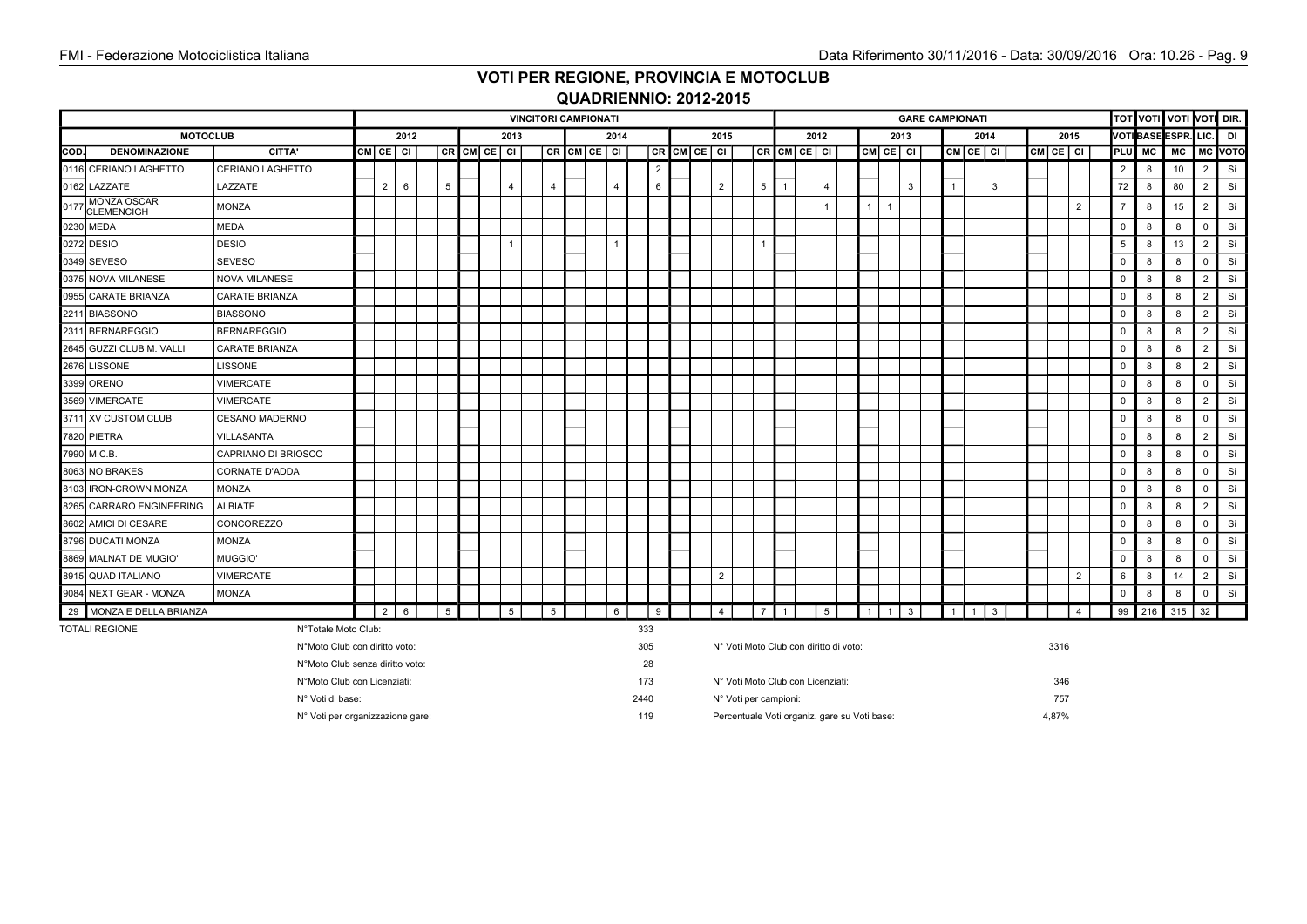|      |                                       |                                  |             |      |                 |          |                 |                | <b>VINCITORI CAMPIONATI</b> |                |                |                     |                |                                              |                 |                |      |                |                                |              | <b>GARE CAMPIONATI</b> |          |              |  |             |                |                |        |                      |                | <b>TOT VOTI VOTI VOTI DIR.</b> |
|------|---------------------------------------|----------------------------------|-------------|------|-----------------|----------|-----------------|----------------|-----------------------------|----------------|----------------|---------------------|----------------|----------------------------------------------|-----------------|----------------|------|----------------|--------------------------------|--------------|------------------------|----------|--------------|--|-------------|----------------|----------------|--------|----------------------|----------------|--------------------------------|
|      | <b>MOTOCLUB</b>                       |                                  |             | 2012 |                 |          | 2013            |                |                             | 2014           |                |                     | 2015           |                                              |                 |                | 2012 |                |                                | 2013         |                        |          | 2014         |  |             | 2015           |                |        | VOTI BASE ESPR. LIC. |                | DI                             |
| COD. | <b>DENOMINAZIONE</b>                  | CITTA'                           | CM CE       | CI   |                 | CR CM CE | <b>CI</b>       |                | CR CM CE CI                 |                |                | $CR$ $CM$ $CE$ $CI$ |                |                                              |                 | $CR$ $CM$ $CE$ |      | <b>CI</b>      |                                | $CM$ CE $Cl$ |                        | CM CE CI |              |  | $CM$ CE $G$ |                | PLU MC         |        | МC                   |                | <b>MC VOTO</b>                 |
|      | 0116 CERIANO LAGHETTO                 | <b>CERIANO LAGHETTO</b>          |             |      |                 |          |                 |                |                             |                | $\overline{2}$ |                     |                |                                              |                 |                |      |                |                                |              |                        |          |              |  |             |                | $\overline{2}$ | 8      | 10                   | $\overline{2}$ | Si                             |
|      | 0162 LAZZATE                          | LAZZATE                          | 2           | 6    | $\overline{5}$  |          | $\overline{4}$  | $\overline{4}$ |                             | $\overline{4}$ | 6              |                     | $\overline{2}$ |                                              | $5\phantom{.0}$ | $\overline{1}$ |      | $\overline{4}$ |                                | $\mathbf{3}$ | $\overline{1}$         |          | $\mathbf{3}$ |  |             |                | 72             | 8      | 80                   | $\overline{2}$ | Si                             |
|      | <b>MONZA OSCAR</b><br>0177 CLEMENCIGH | <b>MONZA</b>                     |             |      |                 |          |                 |                |                             |                |                |                     |                |                                              |                 |                |      | 1              | $\mathbf{1}$<br>$\overline{1}$ |              |                        |          |              |  |             | $\overline{2}$ | $\overline{7}$ | 8      | 15                   | $\overline{2}$ | Si                             |
|      | 0230 MEDA                             | <b>MEDA</b>                      |             |      |                 |          |                 |                |                             |                |                |                     |                |                                              |                 |                |      |                |                                |              |                        |          |              |  |             |                | $\mathsf{O}$   | 8      | 8                    | $\mathbf 0$    | Si                             |
|      | 0272 DESIO                            | <b>DESIO</b>                     |             |      |                 |          | $\mathbf{1}$    |                |                             | $\mathbf{1}$   |                |                     |                |                                              | $\overline{1}$  |                |      |                |                                |              |                        |          |              |  |             |                | 5              | 8      | 13                   | $\overline{2}$ | Si                             |
|      | 0349 SEVESO                           | <b>SEVESO</b>                    |             |      |                 |          |                 |                |                             |                |                |                     |                |                                              |                 |                |      |                |                                |              |                        |          |              |  |             |                | 0              | 8      | 8                    | $\overline{0}$ | Si                             |
|      | 0375 NOVA MILANESE                    | <b>NOVA MILANESE</b>             |             |      |                 |          |                 |                |                             |                |                |                     |                |                                              |                 |                |      |                |                                |              |                        |          |              |  |             |                | 0              | 8      | 8                    | 2              | Si                             |
|      | 0955 CARATE BRIANZA                   | <b>CARATE BRIANZA</b>            |             |      |                 |          |                 |                |                             |                |                |                     |                |                                              |                 |                |      |                |                                |              |                        |          |              |  |             |                | $\mathbf 0$    | 8      | 8                    | $\overline{2}$ | Si                             |
|      | 2211 BIASSONO                         | <b>BIASSONO</b>                  |             |      |                 |          |                 |                |                             |                |                |                     |                |                                              |                 |                |      |                |                                |              |                        |          |              |  |             |                | $\mathbf 0$    | 8      | 8                    | $\overline{2}$ | Si                             |
|      | 2311 BERNAREGGIO                      | <b>BERNAREGGIO</b>               |             |      |                 |          |                 |                |                             |                |                |                     |                |                                              |                 |                |      |                |                                |              |                        |          |              |  |             |                | 0              | 8      | 8                    | $\overline{2}$ | Si                             |
|      | 2645 GUZZI CLUB M. VALLI              | <b>CARATE BRIANZA</b>            |             |      |                 |          |                 |                |                             |                |                |                     |                |                                              |                 |                |      |                |                                |              |                        |          |              |  |             |                | $\mathbf 0$    | 8      | 8                    | $\overline{2}$ | Si                             |
|      | 2676 LISSONE                          | <b>LISSONE</b>                   |             |      |                 |          |                 |                |                             |                |                |                     |                |                                              |                 |                |      |                |                                |              |                        |          |              |  |             |                | 0              | 8      | 8                    | $\overline{2}$ | Si                             |
|      | 3399 ORENO                            | <b>VIMERCATE</b>                 |             |      |                 |          |                 |                |                             |                |                |                     |                |                                              |                 |                |      |                |                                |              |                        |          |              |  |             |                | $\mathbf 0$    | 8      | 8                    | $\mathbf 0$    | Si                             |
|      | 3569 VIMERCATE                        | VIMERCATE                        |             |      |                 |          |                 |                |                             |                |                |                     |                |                                              |                 |                |      |                |                                |              |                        |          |              |  |             |                | $\mathbf 0$    | 8      | 8                    | 2              | Si                             |
|      | 3711 XV CUSTOM CLUB                   | <b>CESANO MADERNO</b>            |             |      |                 |          |                 |                |                             |                |                |                     |                |                                              |                 |                |      |                |                                |              |                        |          |              |  |             |                | $\mathsf{O}$   | 8      | 8                    | $\overline{0}$ | Si                             |
|      | 7820 PIETRA                           | VILLASANTA                       |             |      |                 |          |                 |                |                             |                |                |                     |                |                                              |                 |                |      |                |                                |              |                        |          |              |  |             |                | 0              | 8      | 8                    | 2              | Si                             |
|      | 7990 M.C.B.                           | CAPRIANO DI BRIOSCO              |             |      |                 |          |                 |                |                             |                |                |                     |                |                                              |                 |                |      |                |                                |              |                        |          |              |  |             |                | 0              | 8      | 8                    | $\Omega$       | Si                             |
|      | 8063 NO BRAKES                        | <b>CORNATE D'ADDA</b>            |             |      |                 |          |                 |                |                             |                |                |                     |                |                                              |                 |                |      |                |                                |              |                        |          |              |  |             |                | 0              | 8      | 8                    | $\mathbf 0$    | Si                             |
|      | 8103 IRON-CROWN MONZA                 | <b>MONZA</b>                     |             |      |                 |          |                 |                |                             |                |                |                     |                |                                              |                 |                |      |                |                                |              |                        |          |              |  |             |                | $\mathbf 0$    | 8      | 8                    | $\mathbf 0$    | Si                             |
|      | 8265 CARRARO ENGINEERING              | <b>ALBIATE</b>                   |             |      |                 |          |                 |                |                             |                |                |                     |                |                                              |                 |                |      |                |                                |              |                        |          |              |  |             |                | $\mathbf 0$    | 8      | 8                    | $\overline{2}$ | Si                             |
|      | 8602 AMICI DI CESARE                  | <b>CONCOREZZO</b>                |             |      |                 |          |                 |                |                             |                |                |                     |                |                                              |                 |                |      |                |                                |              |                        |          |              |  |             |                | 0              | 8      | 8                    | $\mathbf 0$    | Si                             |
|      | 8796 DUCATI MONZA                     | <b>MONZA</b>                     |             |      |                 |          |                 |                |                             |                |                |                     |                |                                              |                 |                |      |                |                                |              |                        |          |              |  |             |                | $\mathbf 0$    | 8      | 8                    | $\overline{0}$ | Si                             |
|      | 8869 MALNAT DE MUGIO'                 | <b>MUGGIO'</b>                   |             |      |                 |          |                 |                |                             |                |                |                     |                |                                              |                 |                |      |                |                                |              |                        |          |              |  |             |                | 0              | 8      | 8                    | $\overline{0}$ | Si                             |
|      | 8915 QUAD ITALIANO                    | <b>VIMERCATE</b>                 |             |      |                 |          |                 |                |                             |                |                |                     | $\overline{2}$ |                                              |                 |                |      |                |                                |              |                        |          |              |  |             | 2              | 6              | 8      | 14                   | 2              | Si                             |
|      | 9084 NEXT GEAR - MONZA                | <b>MONZA</b>                     |             |      |                 |          |                 |                |                             |                |                |                     |                |                                              |                 |                |      |                |                                |              |                        |          |              |  |             |                | $\mathbf 0$    | 8      | 8                    | $\Omega$       | Si                             |
|      | 29 MONZA E DELLA BRIANZA              |                                  | $2^{\circ}$ | 6    | $5\overline{)}$ |          | $5\overline{5}$ | 5              |                             | 6              | 9              |                     | 4              |                                              | 7 <sup>1</sup>  | $\overline{1}$ |      | 5 <sup>5</sup> | 1<br>$\overline{\phantom{0}}$  | 3            | $\mathbf{1}$           |          | 3            |  |             | $\overline{4}$ |                | 99 216 | 315                  | 32             |                                |
|      | <b>TOTALI REGIONE</b>                 | N°Totale Moto Club:              |             |      |                 |          |                 |                |                             |                | 333            |                     |                |                                              |                 |                |      |                |                                |              |                        |          |              |  |             |                |                |        |                      |                |                                |
|      |                                       | N°Moto Club con diritto voto:    |             |      |                 |          |                 |                |                             |                | 305            |                     |                | N° Voti Moto Club con diritto di voto:       |                 |                |      |                |                                |              |                        |          |              |  | 3316        |                |                |        |                      |                |                                |
|      |                                       | N°Moto Club senza diritto voto:  |             |      |                 |          |                 |                |                             |                | 28             |                     |                |                                              |                 |                |      |                |                                |              |                        |          |              |  |             |                |                |        |                      |                |                                |
|      |                                       | N°Moto Club con Licenziati:      |             |      |                 |          |                 |                |                             |                | 173            |                     |                | Nº Voti Moto Club con Licenziati:            |                 |                |      |                |                                |              |                        |          |              |  | 346         |                |                |        |                      |                |                                |
|      |                                       | N° Voti di base:                 |             |      |                 |          |                 |                |                             |                | 2440           |                     |                | N° Voti per campioni:                        |                 |                |      |                |                                |              |                        |          |              |  | 757         |                |                |        |                      |                |                                |
|      |                                       | N° Voti per organizzazione gare: |             |      |                 |          |                 |                |                             |                | 119            |                     |                | Percentuale Voti organiz. gare su Voti base: |                 |                |      |                |                                |              |                        |          |              |  | 4,87%       |                |                |        |                      |                |                                |